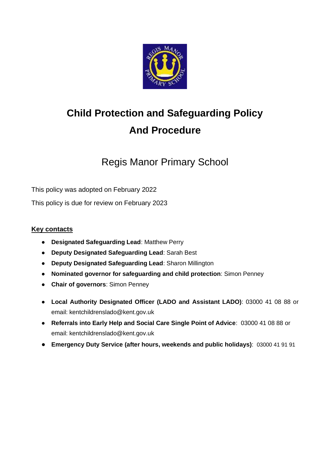

# **Child Protection and Safeguarding Policy And Procedure**

## Regis Manor Primary School

This policy was adopted on February 2022

This policy is due for review on February 2023

#### **Key contacts**

- **Designated Safeguarding Lead**: Matthew Perry
- **Deputy Designated Safeguarding Lead**: Sarah Best
- **Deputy Designated Safeguarding Lead**: Sharon Millington
- **Nominated governor for safeguarding and child protection**: Simon Penney
- **Chair of governors**: Simon Penney
- **Local Authority Designated Officer (LADO and Assistant LADO)**: 03000 41 08 88 or email: kentchildrenslado@kent.gov.uk
- **Referrals into Early Help and Social Care Single Point of Advice**: 03000 41 08 88 or email: kentchildrenslado@kent.gov.uk
- **Emergency Duty Service (after hours, weekends and public holidays)**: 03000 41 91 91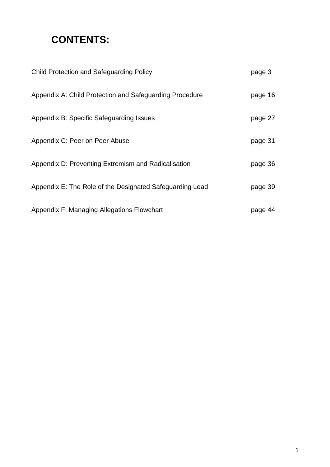## **CONTENTS:**

| <b>Child Protection and Safeguarding Policy</b>          | page 3  |
|----------------------------------------------------------|---------|
| Appendix A: Child Protection and Safeguarding Procedure  | page 16 |
| Appendix B: Specific Safeguarding Issues                 | page 27 |
| Appendix C: Peer on Peer Abuse                           | page 31 |
| Appendix D: Preventing Extremism and Radicalisation      | page 36 |
| Appendix E: The Role of the Designated Safeguarding Lead | page 39 |
| Appendix F: Managing Allegations Flowchart               | page 44 |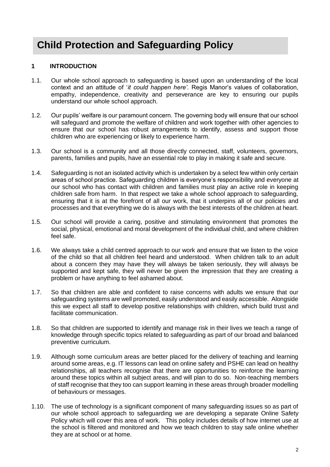## **Child Protection and Safeguarding Policy**

#### **1 INTRODUCTION**

- 1.1. Our whole school approach to safeguarding is based upon an understanding of the local context and an attitude of '*it could happen here'*. Regis Manor's values of collaboration, empathy, independence, creativity and perseverance are key to ensuring our pupils understand our whole school approach.
- 1.2. Our pupils' welfare is our paramount concern. The governing body will ensure that our school will safeguard and promote the welfare of children and work together with other agencies to ensure that our school has robust arrangements to identify, assess and support those children who are experiencing or likely to experience harm.
- 1.3. Our school is a community and all those directly connected, staff, volunteers, governors, parents, families and pupils, have an essential role to play in making it safe and secure.
- 1.4. Safeguarding is not an isolated activity which is undertaken by a select few within only certain areas of school practice. Safeguarding children is everyone's responsibility and everyone at our school who has contact with children and families must play an active role in keeping children safe from harm. In that respect we take a whole school approach to safeguarding, ensuring that it is at the forefront of all our work, that it underpins all of our policies and processes and that everything we do is always with the best interests of the children at heart.
- 1.5. Our school will provide a caring, positive and stimulating environment that promotes the social, physical, emotional and moral development of the individual child, and where children feel safe.
- 1.6. We always take a child centred approach to our work and ensure that we listen to the voice of the child so that all children feel heard and understood. When children talk to an adult about a concern they may have they will always be taken seriously, they will always be supported and kept safe, they will never be given the impression that they are creating a problem or have anything to feel ashamed about.
- 1.7. So that children are able and confident to raise concerns with adults we ensure that our safeguarding systems are well promoted, easily understood and easily accessible. Alongside this we expect all staff to develop positive relationships with children, which build trust and facilitate communication.
- 1.8. So that children are supported to identify and manage risk in their lives we teach a range of knowledge through specific topics related to safeguarding as part of our broad and balanced preventive curriculum.
- 1.9. Although some curriculum areas are better placed for the delivery of teaching and learning around some areas, e.g. IT lessons can lead on online safety and PSHE can lead on healthy relationships, all teachers recognise that there are opportunities to reinforce the learning around these topics within all subject areas, and will plan to do so. Non-teaching members of staff recognise that they too can support learning in these areas through broader modelling of behaviours or messages.
- 1.10. The use of technology is a significant component of many safeguarding issues so as part of our whole school approach to safeguarding we are developing a separate Online Safety Policy which will cover this area of work. This policy includes details of how internet use at the school is filtered and monitored and how we teach children to stay safe online whether they are at school or at home.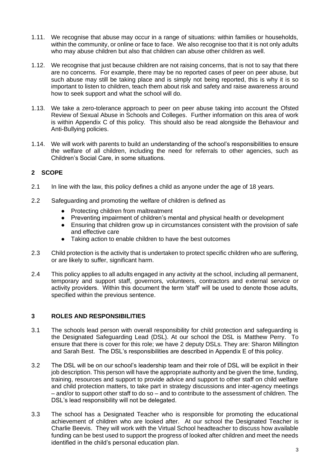- 1.11. We recognise that abuse may occur in a range of situations: within families or households, within the community, or online or face to face. We also recognise too that it is not only adults who may abuse children but also that children can abuse other children as well.
- 1.12. We recognise that just because children are not raising concerns, that is not to say that there are no concerns. For example, there may be no reported cases of peer on peer abuse, but such abuse may still be taking place and is simply not being reported, this is why it is so important to listen to children, teach them about risk and safety and raise awareness around how to seek support and what the school will do.
- 1.13. We take a zero-tolerance approach to peer on peer abuse taking into account the Ofsted Review of Sexual Abuse in Schools and Colleges. Further information on this area of work is within Appendix C of this policy. This should also be read alongside the Behaviour and Anti-Bullying policies.
- 1.14. We will work with parents to build an understanding of the school's responsibilities to ensure the welfare of all children, including the need for referrals to other agencies, such as Children's Social Care, in some situations.

#### **2 SCOPE**

- 2.1 In line with the law, this policy defines a child as anyone under the age of 18 years.
- 2.2 Safeguarding and promoting the welfare of children is defined as
	- Protecting children from maltreatment
	- Preventing impairment of children's mental and physical health or development
	- Ensuring that children grow up in circumstances consistent with the provision of safe and effective care
	- Taking action to enable children to have the best outcomes
- 2.3 Child protection is the activity that is undertaken to protect specific children who are suffering, or are likely to suffer, significant harm.
- 2.4 This policy applies to all adults engaged in any activity at the school, including all permanent, temporary and support staff, governors, volunteers, contractors and external service or activity providers. Within this document the term 'staff' will be used to denote those adults, specified within the previous sentence.

#### **3 ROLES AND RESPONSIBILITIES**

- 3.1 The schools lead person with overall responsibility for child protection and safeguarding is the Designated Safeguarding Lead (DSL). At our school the DSL is Matthew Perry. To ensure that there is cover for this role; we have 2 deputy DSLs. They are: Sharon Millington and Sarah Best. The DSL's responsibilities are described in Appendix E of this policy.
- 3.2 The DSL will be on our school's leadership team and their role of DSL will be explicit in their job description. This person will have the appropriate authority and be given the time, funding, training, resources and support to provide advice and support to other staff on child welfare and child protection matters, to take part in strategy discussions and inter-agency meetings – and/or to support other staff to do so – and to contribute to the assessment of children. The DSL's lead responsibility will not be delegated.
- 3.3 The school has a Designated Teacher who is responsible for promoting the educational achievement of children who are looked after. At our school the Designated Teacher is Charlie Beevis. They will work with the Virtual School headteacher to discuss how available funding can be best used to support the progress of looked after children and meet the needs identified in the child's personal education plan.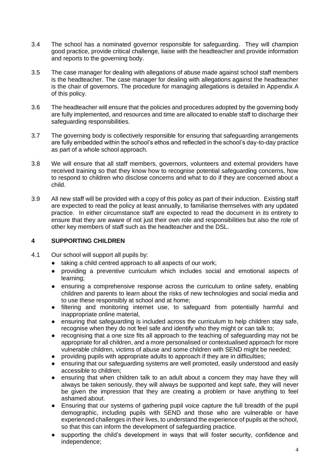- 3.4 The school has a nominated governor responsible for safeguarding. They will champion good practice, provide critical challenge, liaise with the headteacher and provide information and reports to the governing body.
- 3.5 The case manager for dealing with allegations of abuse made against school staff members is the headteacher. The case manager for dealing with allegations against the headteacher is the chair of governors. The procedure for managing allegations is detailed in Appendix A of this policy.
- 3.6 The headteacher will ensure that the policies and procedures adopted by the governing body are fully implemented, and resources and time are allocated to enable staff to discharge their safeguarding responsibilities.
- 3.7 The governing body is collectively responsible for ensuring that safeguarding arrangements are fully embedded within the school's ethos and reflected in the school's day-to-day practice as part of a whole school approach.
- 3.8 We will ensure that all staff members, governors, volunteers and external providers have received training so that they know how to recognise potential safeguarding concerns, how to respond to children who disclose concerns and what to do if they are concerned about a child.
- 3.9 All new staff will be provided with a copy of this policy as part of their induction. Existing staff are expected to read the policy at least annually, to familiarise themselves with any updated practice. In either circumstance staff are expected to read the document in its entirety to ensure that they are aware of not just their own role and responsibilities but also the role of other key members of staff such as the headteacher and the DSL.

#### **4 SUPPORTING CHILDREN**

- 4.1 Our school will support all pupils by:
	- taking a child centred approach to all aspects of our work;
	- providing a preventive curriculum which includes social and emotional aspects of learning;
	- ensuring a comprehensive response across the curriculum to online safety, enabling children and parents to learn about the risks of new technologies and social media and to use these responsibly at school and at home;
	- filtering and monitoring internet use, to safeguard from potentially harmful and inappropriate online material,
	- ensuring that safeguarding is included across the curriculum to help children stay safe, recognise when they do not feel safe and identify who they might or can talk to;
	- recognising that a one size fits all approach to the teaching of safeguarding may not be appropriate for all children, and a more personalised or contextualised approach for more vulnerable children, victims of abuse and some children with SEND might be needed;
	- providing pupils with appropriate adults to approach if they are in difficulties;
	- ensuring that our safeguarding systems are well promoted, easily understood and easily accessible to children;
	- ensuring that when children talk to an adult about a concern they may have they will always be taken seriously, they will always be supported and kept safe, they will never be given the impression that they are creating a problem or have anything to feel ashamed about.
	- Ensuring that our systems of gathering pupil voice capture the full breadth of the pupil demographic, including pupils with SEND and those who are vulnerable or have experienced challenges in their lives, to understand the experience of pupils at the school, so that this can inform the development of safeguarding practice.
	- supporting the child's development in ways that will foster security, confidence and independence;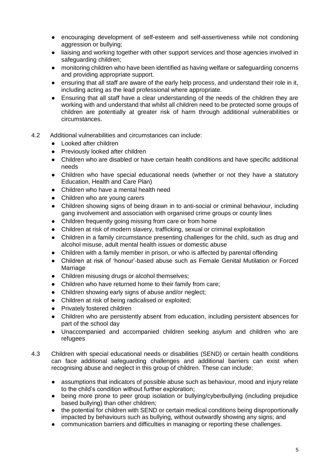- encouraging development of self-esteem and self-assertiveness while not condoning aggression or bullying;
- liaising and working together with other support services and those agencies involved in safeguarding children;
- monitoring children who have been identified as having welfare or safeguarding concerns and providing appropriate support.
- ensuring that all staff are aware of the early help process, and understand their role in it, including acting as the lead professional where appropriate.
- Ensuring that all staff have a clear understanding of the needs of the children they are working with and understand that whilst all children need to be protected some groups of children are potentially at greater risk of harm through additional vulnerabilities or circumstances.
- 4.2 Additional vulnerabilities and circumstances can include:
	- Looked after children
	- Previously looked after children
	- Children who are disabled or have certain health conditions and have specific additional needs
	- Children who have special educational needs (whether or not they have a statutory Education, Health and Care Plan)
	- Children who have a mental health need
	- Children who are young carers
	- Children showing signs of being drawn in to anti-social or criminal behaviour, including gang involvement and association with organised crime groups or county lines
	- Children frequently going missing from care or from home
	- Children at risk of modern slavery, trafficking, sexual or criminal exploitation
	- Children in a family circumstance presenting challenges for the child, such as drug and alcohol misuse, adult mental health issues or domestic abuse
	- Children with a family member in prison, or who is affected by parental offending
	- Children at risk of 'honour'-based abuse such as Female Genital Mutilation or Forced Marriage
	- Children misusing drugs or alcohol themselves;
	- Children who have returned home to their family from care;
	- Children showing early signs of abuse and/or neglect;
	- Children at risk of being radicalised or exploited;
	- Privately fostered children
	- Children who are persistently absent from education, including persistent absences for part of the school day
	- Unaccompanied and accompanied children seeking asylum and children who are refugees
- 4.3 Children with special educational needs or disabilities (SEND) or certain health conditions can face additional safeguarding challenges and additional barriers can exist when recognising abuse and neglect in this group of children. These can include:
	- assumptions that indicators of possible abuse such as behaviour, mood and injury relate to the child's condition without further exploration;
	- being more prone to peer group isolation or bullying/cyberbullying (including prejudice based bullying) than other children;
	- the potential for children with SEND or certain medical conditions being disproportionally impacted by behaviours such as bullying, without outwardly showing any signs; and
	- communication barriers and difficulties in managing or reporting these challenges.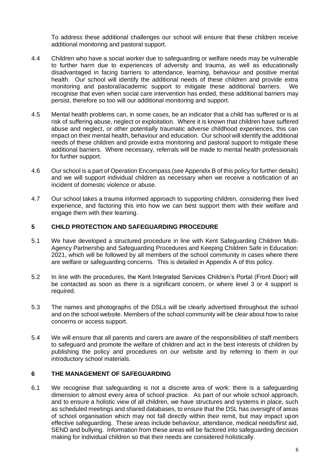To address these additional challenges our school will ensure that these children receive additional monitoring and pastoral support.

- 4.4 Children who have a social worker due to safeguarding or welfare needs may be vulnerable to further harm due to experiences of adversity and trauma, as well as educationally disadvantaged in facing barriers to attendance, learning, behaviour and positive mental health. Our school will identify the additional needs of these children and provide extra monitoring and pastoral/academic support to mitigate these additional barriers. We recognise that even when social care intervention has ended, these additional barriers may persist, therefore so too will our additional monitoring and support.
- 4.5 Mental health problems can, in some cases, be an indicator that a child has suffered or is at risk of suffering abuse, neglect or exploitation. Where it is known that children have suffered abuse and neglect, or other potentially traumatic adverse childhood experiences, this can impact on their mental health, behaviour and education. Our school will identify the additional needs of these children and provide extra monitoring and pastoral support to mitigate these additional barriers. Where necessary, referrals will be made to mental health professionals for further support.
- 4.6 Our school is a part of Operation Encompass (see Appendix B of this policy for further details) and we will support individual children as necessary when we receive a notification of an incident of domestic violence or abuse.
- 4.7 Our school takes a trauma informed approach to supporting children, considering their lived experience, and factoring this into how we can best support them with their welfare and engage them with their learning.

#### **5 CHILD PROTECTION AND SAFEGUARDING PROCEDURE**

- 5.1 We have developed a structured procedure in line with Kent Safeguarding Children Multi-Agency Partnership and Safeguarding Procedures and Keeping Children Safe in Education: 2021, which will be followed by all members of the school community in cases where there are welfare or safeguarding concerns. This is detailed in Appendix A of this policy.
- 5.2 In line with the procedures, the Kent Integrated Services Children's Portal (Front Door) will be contacted as soon as there is a significant concern, or where level 3 or 4 support is required.
- 5.3 The names and photographs of the DSLs will be clearly advertised throughout the school and on the school website. Members of the school community will be clear about how to raise concerns or access support.
- 5.4 We will ensure that all parents and carers are aware of the responsibilities of staff members to safeguard and promote the welfare of children and act in the best interests of children by publishing the policy and procedures on our website and by referring to them in our introductory school materials.

#### **6 THE MANAGEMENT OF SAFEGUARDING**

6.1 We recognise that safeguarding is not a discrete area of work: there is a safeguarding dimension to almost every area of school practice. As part of our whole school approach, and to ensure a holistic view of all children, we have structures and systems in place, such as scheduled meetings and shared databases, to ensure that the DSL has oversight of areas of school organisation which may not fall directly within their remit, but may impact upon effective safeguarding. These areas include behaviour, attendance, medical needs/first aid, SEND and bullying. Information from these areas will be factored into safeguarding decision making for individual children so that their needs are considered holistically.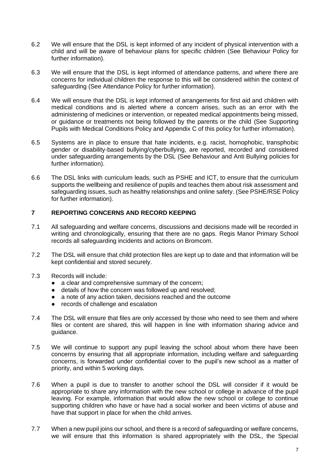- 6.2 We will ensure that the DSL is kept informed of any incident of physical intervention with a child and will be aware of behaviour plans for specific children (See Behaviour Policy for further information).
- 6.3 We will ensure that the DSL is kept informed of attendance patterns, and where there are concerns for individual children the response to this will be considered within the context of safeguarding (See Attendance Policy for further information).
- 6.4 We will ensure that the DSL is kept informed of arrangements for first aid and children with medical conditions and is alerted where a concern arises, such as an error with the administering of medicines or intervention, or repeated medical appointments being missed, or guidance or treatments not being followed by the parents or the child (See Supporting Pupils with Medical Conditions Policy and Appendix C of this policy for further information).
- 6.5 Systems are in place to ensure that hate incidents, e.g. racist, homophobic, transphobic gender or disability-based bullying/cyberbullying, are reported, recorded and considered under safeguarding arrangements by the DSL (See Behaviour and Anti Bullying policies for further information).
- 6.6 The DSL links with curriculum leads, such as PSHE and ICT, to ensure that the curriculum supports the wellbeing and resilience of pupils and teaches them about risk assessment and safeguarding issues, such as healthy relationships and online safety. (See PSHE/RSE Policy for further information).

#### **7 REPORTING CONCERNS AND RECORD KEEPING**

- 7.1 All safeguarding and welfare concerns, discussions and decisions made will be recorded in writing and chronologically, ensuring that there are no gaps. Regis Manor Primary School records all safeguarding incidents and actions on Bromcom.
- 7.2 The DSL will ensure that child protection files are kept up to date and that information will be kept confidential and stored securely.
- 7.3 Records will include:
	- a clear and comprehensive summary of the concern:
	- details of how the concern was followed up and resolved;
	- a note of any action taken, decisions reached and the outcome
	- records of challenge and escalation
- 7.4 The DSL will ensure that files are only accessed by those who need to see them and where files or content are shared, this will happen in line with information sharing advice and guidance.
- 7.5 We will continue to support any pupil leaving the school about whom there have been concerns by ensuring that all appropriate information, including welfare and safeguarding concerns, is forwarded under confidential cover to the pupil's new school as a matter of priority, and within 5 working days.
- 7.6 When a pupil is due to transfer to another school the DSL will consider if it would be appropriate to share any information with the new school or college in advance of the pupil leaving. For example, information that would allow the new school or college to continue supporting children who have or have had a social worker and been victims of abuse and have that support in place for when the child arrives.
- 7.7 When a new pupil joins our school, and there is a record of safeguarding or welfare concerns, we will ensure that this information is shared appropriately with the DSL, the Special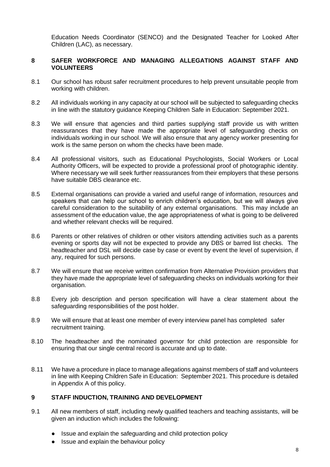Education Needs Coordinator (SENCO) and the Designated Teacher for Looked After Children (LAC), as necessary.

#### **8 SAFER WORKFORCE AND MANAGING ALLEGATIONS AGAINST STAFF AND VOLUNTEERS**

- 8.1 Our school has robust safer recruitment procedures to help prevent unsuitable people from working with children.
- 8.2 All individuals working in any capacity at our school will be subjected to safeguarding checks in line with the statutory guidance Keeping Children Safe in Education: September 2021.
- 8.3 We will ensure that agencies and third parties supplying staff provide us with written reassurances that they have made the appropriate level of safeguarding checks on individuals working in our school. We will also ensure that any agency worker presenting for work is the same person on whom the checks have been made.
- 8.4 All professional visitors, such as Educational Psychologists, Social Workers or Local Authority Officers, will be expected to provide a professional proof of photographic identity. Where necessary we will seek further reassurances from their employers that these persons have suitable DBS clearance etc.
- 8.5 External organisations can provide a varied and useful range of information, resources and speakers that can help our school to enrich children's education, but we will always give careful consideration to the suitability of any external organisations. This may include an assessment of the education value, the age appropriateness of what is going to be delivered and whether relevant checks will be required.
- 8.6 Parents or other relatives of children or other visitors attending activities such as a parents evening or sports day will not be expected to provide any DBS or barred list checks. The headteacher and DSL will decide case by case or event by event the level of supervision, if any, required for such persons.
- 8.7 We will ensure that we receive written confirmation from Alternative Provision providers that they have made the appropriate level of safeguarding checks on individuals working for their organisation.
- 8.8 Every job description and person specification will have a clear statement about the safeguarding responsibilities of the post holder.
- 8.9 We will ensure that at least one member of every interview panel has completed safer recruitment training.
- 8.10 The headteacher and the nominated governor for child protection are responsible for ensuring that our single central record is accurate and up to date.
- 8.11 We have a procedure in place to manage allegations against members of staff and volunteers in line with Keeping Children Safe in Education: September 2021. This procedure is detailed in Appendix A of this policy.

#### **9 STAFF INDUCTION, TRAINING AND DEVELOPMENT**

- 9.1 All new members of staff, including newly qualified teachers and teaching assistants, will be given an induction which includes the following:
	- Issue and explain the safeguarding and child protection policy
	- Issue and explain the behaviour policy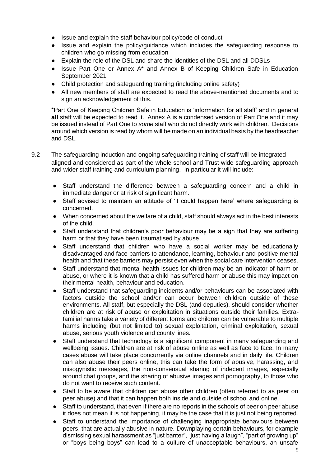- Issue and explain the staff behaviour policy/code of conduct
- Issue and explain the policy/guidance which includes the safeguarding response to children who go missing from education
- Explain the role of the DSL and share the identities of the DSL and all DDSLs
- Issue Part One or Annex A\* and Annex B of Keeping Children Safe in Education September 2021
- Child protection and safeguarding training (including online safety)
- All new members of staff are expected to read the above-mentioned documents and to sign an acknowledgement of this.

\*Part One of Keeping Children Safe in Education is 'information for all staff' and in general **all** staff will be expected to read it. Annex A is a condensed version of Part One and it may be issued instead of Part One to *some* staff who do not directly work with children. Decisions around which version is read by whom will be made on an individual basis by the headteacher and DSL.

- 9.2 The safeguarding induction and ongoing safeguarding training of staff will be integrated aligned and considered as part of the whole school and Trust wide safeguarding approach and wider staff training and curriculum planning. In particular it will include:
	- Staff understand the difference between a safeguarding concern and a child in immediate danger or at risk of significant harm.
	- Staff advised to maintain an attitude of 'it could happen here' where safeguarding is concerned.
	- When concerned about the welfare of a child, staff should always act in the best interests of the child.
	- Staff understand that children's poor behaviour may be a sign that they are suffering harm or that they have been traumatised by abuse.
	- Staff understand that children who have a social worker may be educationally disadvantaged and face barriers to attendance, learning, behaviour and positive mental health and that these barriers may persist even when the social care intervention ceases.
	- Staff understand that mental health issues for children may be an indicator of harm or abuse, or where it is known that a child has suffered harm or abuse this may impact on their mental health, behaviour and education.
	- Staff understand that safeguarding incidents and/or behaviours can be associated with factors outside the school and/or can occur between children outside of these environments. All staff, but especially the DSL (and deputies), should consider whether children are at risk of abuse or exploitation in situations outside their families. Extrafamilial harms take a variety of different forms and children can be vulnerable to multiple harms including (but not limited to) sexual exploitation, criminal exploitation, sexual abuse, serious youth violence and county lines.
	- Staff understand that technology is a significant component in many safeguarding and wellbeing issues. Children are at risk of abuse online as well as face to face. In many cases abuse will take place concurrently via online channels and in daily life. Children can also abuse their peers online, this can take the form of abusive, harassing, and misogynistic messages, the non-consensual sharing of indecent images, especially around chat groups, and the sharing of abusive images and pornography, to those who do not want to receive such content.
	- Staff to be aware that children can abuse other children (often referred to as peer on peer abuse) and that it can happen both inside and outside of school and online.
	- Staff to understand, that even if there are no reports in the schools of peer on peer abuse it does not mean it is not happening, it may be the case that it is just not being reported.
	- Staff to understand the importance of challenging inappropriate behaviours between peers, that are actually abusive in nature. Downplaying certain behaviours, for example dismissing sexual harassment as "just banter", "just having a laugh", "part of growing up" or "boys being boys" can lead to a culture of unacceptable behaviours, an unsafe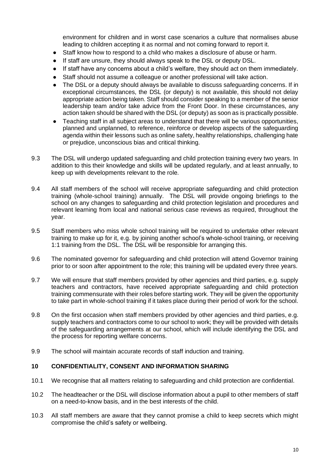environment for children and in worst case scenarios a culture that normalises abuse leading to children accepting it as normal and not coming forward to report it.

- Staff know how to respond to a child who makes a disclosure of abuse or harm.
- If staff are unsure, they should always speak to the DSL or deputy DSL.
- If staff have any concerns about a child's welfare, they should act on them immediately.
- Staff should not assume a colleague or another professional will take action.
- The DSL or a deputy should always be available to discuss safeguarding concerns. If in exceptional circumstances, the DSL (or deputy) is not available, this should not delay appropriate action being taken. Staff should consider speaking to a member of the senior leadership team and/or take advice from the Front Door. In these circumstances, any action taken should be shared with the DSL (or deputy) as soon as is practically possible.
- Teaching staff in all subject areas to understand that there will be various opportunities, planned and unplanned, to reference, reinforce or develop aspects of the safeguarding agenda within their lessons such as online safety, healthy relationships, challenging hate or prejudice, unconscious bias and critical thinking.
- 9.3 The DSL will undergo updated safeguarding and child protection training every two years. In addition to this their knowledge and skills will be updated regularly, and at least annually, to keep up with developments relevant to the role.
- 9.4 All staff members of the school will receive appropriate safeguarding and child protection training (whole-school training) annually. The DSL will provide ongoing briefings to the school on any changes to safeguarding and child protection legislation and procedures and relevant learning from local and national serious case reviews as required, throughout the year.
- 9.5 Staff members who miss whole school training will be required to undertake other relevant training to make up for it, e.g. by joining another school's whole-school training, or receiving 1:1 training from the DSL. The DSL will be responsible for arranging this.
- 9.6 The nominated governor for safeguarding and child protection will attend Governor training prior to or soon after appointment to the role; this training will be updated every three years.
- 9.7 We will ensure that staff members provided by other agencies and third parties, e.g. supply teachers and contractors, have received appropriate safeguarding and child protection training commensurate with their roles before starting work. They will be given the opportunity to take part in whole-school training if it takes place during their period of work for the school.
- 9.8 On the first occasion when staff members provided by other agencies and third parties, e.g. supply teachers and contractors come to our school to work; they will be provided with details of the safeguarding arrangements at our school, which will include identifying the DSL and the process for reporting welfare concerns.
- 9.9 The school will maintain accurate records of staff induction and training.

#### **10 CONFIDENTIALITY, CONSENT AND INFORMATION SHARING**

- 10.1 We recognise that all matters relating to safeguarding and child protection are confidential.
- 10.2 The headteacher or the DSL will disclose information about a pupil to other members of staff on a need-to-know basis, and in the best interests of the child.
- 10.3 All staff members are aware that they cannot promise a child to keep secrets which might compromise the child's safety or wellbeing.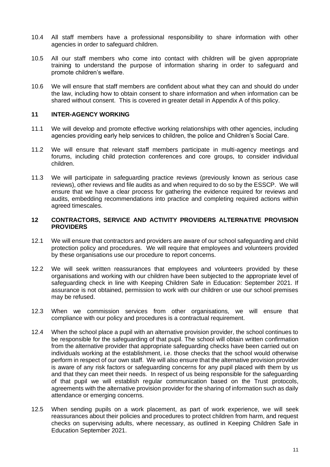- 10.4 All staff members have a professional responsibility to share information with other agencies in order to safeguard children.
- 10.5 All our staff members who come into contact with children will be given appropriate training to understand the purpose of information sharing in order to safeguard and promote children's welfare.
- 10.6 We will ensure that staff members are confident about what they can and should do under the law, including how to obtain consent to share information and when information can be shared without consent. This is covered in greater detail in Appendix A of this policy.

#### **11 INTER-AGENCY WORKING**

- 11.1 We will develop and promote effective working relationships with other agencies, including agencies providing early help services to children, the police and Children's Social Care.
- 11.2 We will ensure that relevant staff members participate in multi-agency meetings and forums, including child protection conferences and core groups, to consider individual children.
- 11.3 We will participate in safeguarding practice reviews (previously known as serious case reviews), other reviews and file audits as and when required to do so by the ESSCP. We will ensure that we have a clear process for gathering the evidence required for reviews and audits, embedding recommendations into practice and completing required actions within agreed timescales.

#### **12 CONTRACTORS, SERVICE AND ACTIVITY PROVIDERS ALTERNATIVE PROVISION PROVIDERS**

- 12.1 We will ensure that contractors and providers are aware of our school safeguarding and child protection policy and procedures. We will require that employees and volunteers provided by these organisations use our procedure to report concerns.
- 12.2 We will seek written reassurances that employees and volunteers provided by these organisations and working with our children have been subjected to the appropriate level of safeguarding check in line with Keeping Children Safe in Education: September 2021. If assurance is not obtained, permission to work with our children or use our school premises may be refused.
- 12.3 When we commission services from other organisations, we will ensure that compliance with our policy and procedures is a contractual requirement.
- 12.4 When the school place a pupil with an alternative provision provider, the school continues to be responsible for the safeguarding of that pupil. The school will obtain written confirmation from the alternative provider that appropriate safeguarding checks have been carried out on individuals working at the establishment, i.e. those checks that the school would otherwise perform in respect of our own staff. We will also ensure that the alternative provision provider is aware of any risk factors or safeguarding concerns for any pupil placed with them by us and that they can meet their needs. In respect of us being responsible for the safeguarding of that pupil we will establish regular communication based on the Trust protocols, agreements with the alternative provision provider for the sharing of information such as daily attendance or emerging concerns.
- 12.5 When sending pupils on a work placement, as part of work experience, we will seek reassurances about their policies and procedures to protect children from harm, and request checks on supervising adults, where necessary, as outlined in Keeping Children Safe in Education September 2021.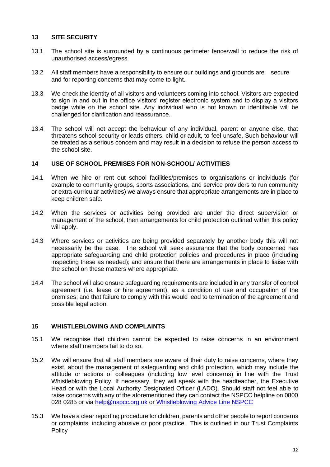#### **13 SITE SECURITY**

- 13.1 The school site is surrounded by a continuous perimeter fence/wall to reduce the risk of unauthorised access/egress.
- 13.2 All staff members have a responsibility to ensure our buildings and grounds are secure and for reporting concerns that may come to light.
- 13.3 We check the identity of all visitors and volunteers coming into school. Visitors are expected to sign in and out in the office visitors' register electronic system and to display a visitors badge while on the school site. Any individual who is not known or identifiable will be challenged for clarification and reassurance.
- 13.4 The school will not accept the behaviour of any individual, parent or anyone else, that threatens school security or leads others, child or adult, to feel unsafe. Such behaviour will be treated as a serious concern and may result in a decision to refuse the person access to the school site.

#### **14 USE OF SCHOOL PREMISES FOR NON-SCHOOL/ ACTIVITIES**

- 14.1 When we hire or rent out school facilities/premises to organisations or individuals (for example to community groups, sports associations, and service providers to run community or extra-curricular activities) we always ensure that appropriate arrangements are in place to keep children safe.
- 14.2 When the services or activities being provided are under the direct supervision or management of the school, then arrangements for child protection outlined within this policy will apply.
- 14.3 Where services or activities are being provided separately by another body this will not necessarily be the case. The school will seek assurance that the body concerned has appropriate safeguarding and child protection policies and procedures in place (including inspecting these as needed); and ensure that there are arrangements in place to liaise with the school on these matters where appropriate.
- 14.4 The school will also ensure safeguarding requirements are included in any transfer of control agreement (i.e. lease or hire agreement), as a condition of use and occupation of the premises; and that failure to comply with this would lead to termination of the agreement and possible legal action.

#### **15 WHISTLEBLOWING AND COMPLAINTS**

- 15.1 We recognise that children cannot be expected to raise concerns in an environment where staff members fail to do so.
- 15.2 We will ensure that all staff members are aware of their duty to raise concerns, where they exist, about the management of safeguarding and child protection, which may include the attitude or actions of colleagues (including low level concerns) in line with the Trust Whistleblowing Policy. If necessary, they will speak with the headteacher, the Executive Head or with the Local Authority Designated Officer (LADO). Should staff not feel able to raise concerns with any of the aforementioned they can contact the NSPCC helpline on 0800 028 0285 or via [help@nspcc.org.uk](mailto:help@nspcc.org.uk) or [Whistleblowing Advice Line NSPCC](https://www.nspcc.org.uk/keeping-children-safe/reporting-abuse/dedicated-helplines/whistleblowing-advice-line/)
- 15.3 We have a clear reporting procedure for children, parents and other people to report concerns or complaints, including abusive or poor practice. This is outlined in our Trust Complaints Policy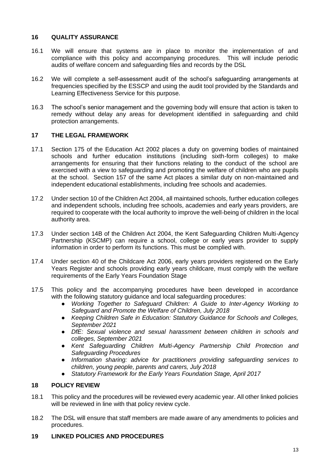#### **16 QUALITY ASSURANCE**

- 16.1 We will ensure that systems are in place to monitor the implementation of and compliance with this policy and accompanying procedures. This will include periodic audits of welfare concern and safeguarding files and records by the DSL
- 16.2 We will complete a self-assessment audit of the school's safeguarding arrangements at frequencies specified by the ESSCP and using the audit tool provided by the Standards and Learning Effectiveness Service for this purpose.
- 16.3 The school's senior management and the governing body will ensure that action is taken to remedy without delay any areas for development identified in safeguarding and child protection arrangements.

#### **17 THE LEGAL FRAMEWORK**

- 17.1 Section 175 of the Education Act 2002 places a duty on governing bodies of maintained schools and further education institutions (including sixth-form colleges) to make arrangements for ensuring that their functions relating to the conduct of the school are exercised with a view to safeguarding and promoting the welfare of children who are pupils at the school. Section 157 of the same Act places a similar duty on non-maintained and independent educational establishments, including free schools and academies.
- 17.2 Under section 10 of the Children Act 2004, all maintained schools, further education colleges and independent schools, including free schools, academies and early years providers, are required to cooperate with the local authority to improve the well-being of children in the local authority area.
- 17.3 Under section 14B of the Children Act 2004, the Kent Safeguarding Children Multi-Agency Partnership (KSCMP) can require a school, college or early years provider to supply information in order to perform its functions. This must be complied with.
- 17.4 Under section 40 of the Childcare Act 2006, early years providers registered on the Early Years Register and schools providing early years childcare, must comply with the welfare requirements of the Early Years Foundation Stage
- 17.5 This policy and the accompanying procedures have been developed in accordance with the following statutory guidance and local safeguarding procedures:
	- *Working Together to Safeguard Children: A Guide to Inter-Agency Working to Safeguard and Promote the Welfare of Children, July 2018*
	- *Keeping Children Safe in Education: Statutory Guidance for Schools and Colleges, September 2021*
	- *DfE: Sexual violence and sexual harassment between children in schools and colleges, September 2021*
	- *Kent Safeguarding Children Multi-Agency Partnership Child Protection and Safeguarding Procedures*
	- *Information sharing: advice for practitioners providing safeguarding services to children, young people, parents and carers, July 2018*
	- *Statutory Framework for the Early Years Foundation Stage, April 2017*

#### **18 POLICY REVIEW**

- 18.1 This policy and the procedures will be reviewed every academic year. All other linked policies will be reviewed in line with that policy review cycle.
- 18.2 The DSL will ensure that staff members are made aware of any amendments to policies and procedures.

#### **19 LINKED POLICIES AND PROCEDURES**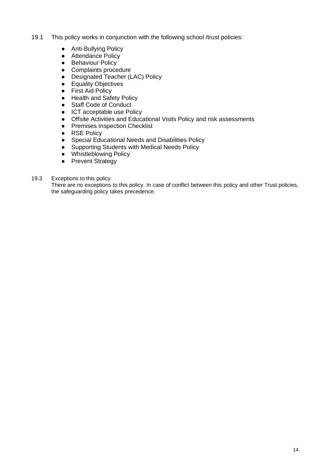- 19.1 This policy works in conjunction with the following school /trust policies:
	- Anti-Bullying Policy
	- Attendance Policy
	- Behaviour Policy
	- Complaints procedure
	- Designated Teacher (LAC) Policy
	- Equality Objectives
	- First Aid Policy
	- Health and Safety Policy
	- Staff Code of Conduct
	- ICT acceptable use Policy
	- Offsite Activities and Educational Visits Policy and risk assessments
	- Premises Inspection Checklist
	- RSE Policy
	- Special Educational Needs and Disabilities Policy
	- Supporting Students with Medical Needs Policy
	- Whistleblowing Policy
	- Prevent Strategy
- 19.3 Exceptions to this policy

There are no exceptions to this policy. In case of conflict between this policy and other Trust policies, the safeguarding policy takes precedence.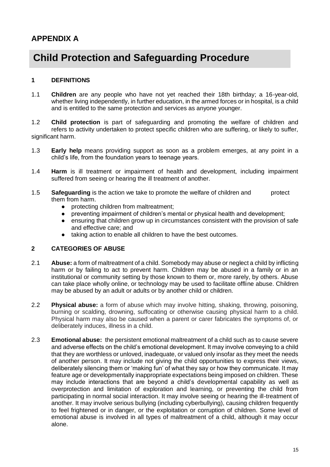### **APPENDIX A**

## **Child Protection and Safeguarding Procedure**

#### **1 DEFINITIONS**

1.1 **Children** are any people who have not yet reached their 18th birthday; a 16-year-old, whether living independently, in further education, in the armed forces or in hospital, is a child and is entitled to the same protection and services as anyone younger.

1.2 **Child protection** is part of safeguarding and promoting the welfare of children and refers to activity undertaken to protect specific children who are suffering, or likely to suffer, significant harm.

- 1.3 **Early help** means providing support as soon as a problem emerges, at any point in a child's life, from the foundation years to teenage years.
- 1.4 **Harm** is ill treatment or impairment of health and development, including impairment suffered from seeing or hearing the ill treatment of another.
- 1.5 **Safeguarding** is the action we take to promote the welfare of children and protect them from harm.
	- protecting children from maltreatment;
	- preventing impairment of children's mental or physical health and development;
	- ensuring that children grow up in circumstances consistent with the provision of safe and effective care; and
	- taking action to enable all children to have the best outcomes.

#### **2 CATEGORIES OF ABUSE**

- 2.1 **Abuse:** a form of maltreatment of a child. Somebody may abuse or neglect a child by inflicting harm or by failing to act to prevent harm. Children may be abused in a family or in an institutional or community setting by those known to them or, more rarely, by others. Abuse can take place wholly online, or technology may be used to facilitate offline abuse. Children may be abused by an adult or adults or by another child or children.
- 2.2 **Physical abuse:** a form of abuse which may involve hitting, shaking, throwing, poisoning, burning or scalding, drowning, suffocating or otherwise causing physical harm to a child. Physical harm may also be caused when a parent or carer fabricates the symptoms of, or deliberately induces, illness in a child.
- 2.3 **Emotional abuse:** the persistent emotional maltreatment of a child such as to cause severe and adverse effects on the child's emotional development. It may involve conveying to a child that they are worthless or unloved, inadequate, or valued only insofar as they meet the needs of another person. It may include not giving the child opportunities to express their views, deliberately silencing them or 'making fun' of what they say or how they communicate. It may feature age or developmentally inappropriate expectations being imposed on children. These may include interactions that are beyond a child's developmental capability as well as overprotection and limitation of exploration and learning, or preventing the child from participating in normal social interaction. It may involve seeing or hearing the ill-treatment of another. It may involve serious bullying (including cyberbullying), causing children frequently to feel frightened or in danger, or the exploitation or corruption of children. Some level of emotional abuse is involved in all types of maltreatment of a child, although it may occur alone.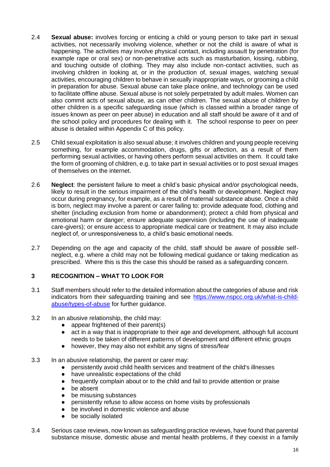- 2.4 **Sexual abuse:** involves forcing or enticing a child or young person to take part in sexual activities, not necessarily involving violence, whether or not the child is aware of what is happening. The activities may involve physical contact, including assault by penetration (for example rape or oral sex) or non-penetrative acts such as masturbation, kissing, rubbing, and touching outside of clothing. They may also include non-contact activities, such as involving children in looking at, or in the production of, sexual images, watching sexual activities, encouraging children to behave in sexually inappropriate ways, or grooming a child in preparation for abuse. Sexual abuse can take place online, and technology can be used to facilitate offline abuse. Sexual abuse is not solely perpetrated by adult males. Women can also commit acts of sexual abuse, as can other children. The sexual abuse of children by other children is a specific safeguarding issue (which is classed within a broader range of issues known as peer on peer abuse) in education and all staff should be aware of it and of the school policy and procedures for dealing with it. The school response to peer on peer abuse is detailed within Appendix C of this policy.
- 2.5 Child sexual exploitation is also sexual abuse; it involves children and young people receiving something, for example accommodation, drugs, gifts or affection, as a result of them performing sexual activities, or having others perform sexual activities on them. It could take the form of grooming of children, e.g. to take part in sexual activities or to post sexual images of themselves on the internet.
- 2.6 **Neglect**: the persistent failure to meet a child's basic physical and/or psychological needs, likely to result in the serious impairment of the child's health or development. Neglect may occur during pregnancy, for example, as a result of maternal substance abuse. Once a child is born, neglect may involve a parent or carer failing to: provide adequate food, clothing and shelter (including exclusion from home or abandonment); protect a child from physical and emotional harm or danger; ensure adequate supervision (including the use of inadequate care-givers); or ensure access to appropriate medical care or treatment. It may also include neglect of, or unresponsiveness to, a child's basic emotional needs.
- 2.7 Depending on the age and capacity of the child, staff should be aware of possible selfneglect, e.g. where a child may not be following medical guidance or taking medication as prescribed. Where this is this the case this should be raised as a safeguarding concern.

#### **3 RECOGNITION – WHAT TO LOOK FOR**

- 3.1 Staff members should refer to the detailed information about the categories of abuse and risk indicators from their safeguarding training and see [https://www.nspcc.org.uk/what-is-child](https://www.nspcc.org.uk/what-is-child-abuse/types-of-abuse)[abuse/types-of-abuse](https://www.nspcc.org.uk/what-is-child-abuse/types-of-abuse) for further guidance.
- 3.2 In an abusive relationship, the child may:
	- appear frightened of their parent(s)
	- act in a way that is inappropriate to their age and development, although full account needs to be taken of different patterns of development and different ethnic groups
	- however, they may also not exhibit any signs of stress/fear
- 3.3 In an abusive relationship, the parent or carer may:
	- persistently avoid child health services and treatment of the child's illnesses
	- have unrealistic expectations of the child
	- frequently complain about or to the child and fail to provide attention or praise
	- be absent
	- be misusing substances
	- persistently refuse to allow access on home visits by professionals
	- be involved in domestic violence and abuse
	- be socially isolated
- 3.4 Serious case reviews, now known as safeguarding practice reviews, have found that parental substance misuse, domestic abuse and mental health problems, if they coexist in a family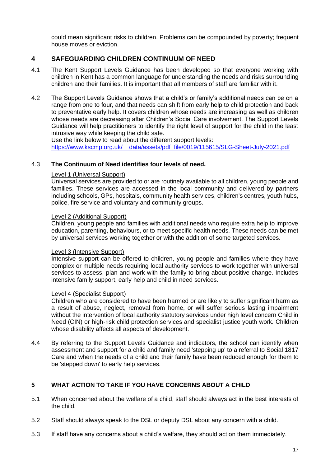could mean significant risks to children. Problems can be compounded by poverty; frequent house moves or eviction.

#### **4 SAFEGUARDING CHILDREN CONTINUUM OF NEED**

- 4.1 The Kent Support Levels Guidance has been developed so that everyone working with children in Kent has a common language for understanding the needs and risks surrounding children and their families. It is important that all members of staff are familiar with it.
- 4.2 The Support Levels Guidance shows that a child's or family's additional needs can be on a range from one to four, and that needs can shift from early help to child protection and back to preventative early help. It covers children whose needs are increasing as well as children whose needs are decreasing after Children's Social Care involvement. The Support Levels Guidance will help practitioners to identify the right level of support for the child in the least intrusive way while keeping the child safe.

Use the link below to read about the different support levels: [https://www.kscmp.org.uk/\\_\\_data/assets/pdf\\_file/0019/115615/SLG-Sheet-July-2021.pdf](https://www.kscmp.org.uk/__data/assets/pdf_file/0019/115615/SLG-Sheet-July-2021.pdf)

#### 4.3 **The Continuum of Need identifies four levels of need.**

#### Level 1 (Universal Support)

Universal services are provided to or are routinely available to all children, young people and families. These services are accessed in the local community and delivered by partners including schools, GPs, hospitals, community health services, children's centres, youth hubs, police, fire service and voluntary and community groups.

#### Level 2 (Additional Support)

Children, young people and families with additional needs who require extra help to improve education, parenting, behaviours, or to meet specific health needs. These needs can be met by universal services working together or with the addition of some targeted services.

#### Level 3 (Intensive Support)

Intensive support can be offered to children, young people and families where they have complex or multiple needs requiring local authority services to work together with universal services to assess, plan and work with the family to bring about positive change. Includes intensive family support, early help and child in need services.

#### Level 4 (Specialist Support)

Children who are considered to have been harmed or are likely to suffer significant harm as a result of abuse, neglect, removal from home, or will suffer serious lasting impairment without the intervention of local authority statutory services under high level concern Child in Need (CIN) or high-risk child protection services and specialist justice youth work. Children whose disability affects all aspects of development.

4.4 By referring to the Support Levels Guidance and indicators, the school can identify when assessment and support for a child and family need 'stepping up' to a referral to Social 1817 Care and when the needs of a child and their family have been reduced enough for them to be 'stepped down' to early help services.

#### **5 WHAT ACTION TO TAKE IF YOU HAVE CONCERNS ABOUT A CHILD**

- 5.1 When concerned about the welfare of a child, staff should always act in the best interests of the child.
- 5.2 Staff should always speak to the DSL or deputy DSL about any concern with a child.
- 5.3 If staff have any concerns about a child's welfare, they should act on them immediately.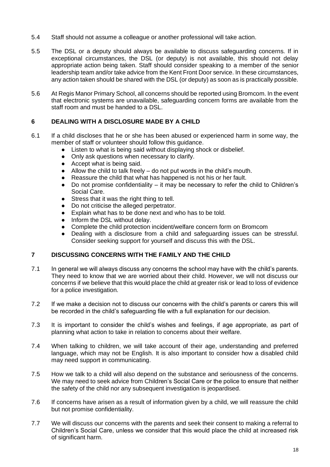- 5.4 Staff should not assume a colleague or another professional will take action.
- 5.5 The DSL or a deputy should always be available to discuss safeguarding concerns. If in exceptional circumstances, the DSL (or deputy) is not available, this should not delay appropriate action being taken. Staff should consider speaking to a member of the senior leadership team and/or take advice from the Kent Front Door service. In these circumstances, any action taken should be shared with the DSL (or deputy) as soon as is practically possible.
- 5.6 At Regis Manor Primary School, all concerns should be reported using Bromcom. In the event that electronic systems are unavailable, safeguarding concern forms are available from the staff room and must be handed to a DSL.

#### **6 DEALING WITH A DISCLOSURE MADE BY A CHILD**

- 6.1 If a child discloses that he or she has been abused or experienced harm in some way, the member of staff or volunteer should follow this guidance.
	- Listen to what is being said without displaying shock or disbelief.
	- Only ask questions when necessary to clarify.
	- Accept what is being said.
	- $\bullet$  Allow the child to talk freely do not put words in the child's mouth.
	- Reassure the child that what has happened is not his or her fault.
	- Do not promise confidentiality it may be necessary to refer the child to Children's Social Care.
	- Stress that it was the right thing to tell.
	- Do not criticise the alleged perpetrator.
	- Explain what has to be done next and who has to be told.
	- Inform the DSL without delay.
	- Complete the child protection incident/welfare concern form on Bromcom
	- Dealing with a disclosure from a child and safeguarding issues can be stressful. Consider seeking support for yourself and discuss this with the DSL.

#### **7 DISCUSSING CONCERNS WITH THE FAMILY AND THE CHILD**

- 7.1 In general we will always discuss any concerns the school may have with the child's parents. They need to know that we are worried about their child. However, we will not discuss our concerns if we believe that this would place the child at greater risk or lead to loss of evidence for a police investigation.
- 7.2 If we make a decision not to discuss our concerns with the child's parents or carers this will be recorded in the child's safeguarding file with a full explanation for our decision.
- 7.3 It is important to consider the child's wishes and feelings, if age appropriate, as part of planning what action to take in relation to concerns about their welfare.
- 7.4 When talking to children, we will take account of their age, understanding and preferred language, which may not be English. It is also important to consider how a disabled child may need support in communicating.
- 7.5 How we talk to a child will also depend on the substance and seriousness of the concerns. We may need to seek advice from Children's Social Care or the police to ensure that neither the safety of the child nor any subsequent investigation is jeopardised.
- 7.6 If concerns have arisen as a result of information given by a child, we will reassure the child but not promise confidentiality.
- 7.7 We will discuss our concerns with the parents and seek their consent to making a referral to Children's Social Care, unless we consider that this would place the child at increased risk of significant harm.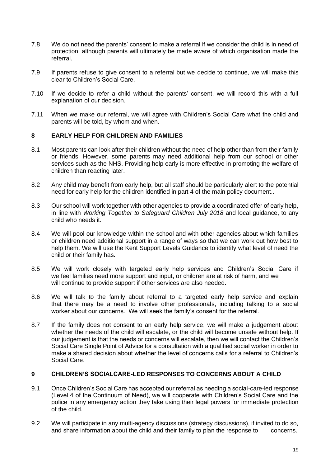- 7.8 We do not need the parents' consent to make a referral if we consider the child is in need of protection, although parents will ultimately be made aware of which organisation made the referral.
- 7.9 If parents refuse to give consent to a referral but we decide to continue, we will make this clear to Children's Social Care.
- 7.10 If we decide to refer a child without the parents' consent, we will record this with a full explanation of our decision.
- 7.11 When we make our referral, we will agree with Children's Social Care what the child and parents will be told, by whom and when.

#### **8 EARLY HELP FOR CHILDREN AND FAMILIES**

- 8.1 Most parents can look after their children without the need of help other than from their family or friends. However, some parents may need additional help from our school or other services such as the NHS. Providing help early is more effective in promoting the welfare of children than reacting later.
- 8.2 Any child may benefit from early help, but all staff should be particularly alert to the potential need for early help for the children identified in part 4 of the main policy document..
- 8.3 Our school will work together with other agencies to provide a coordinated offer of early help, in line with *Working Together to Safeguard Children July 2018* and local guidance, to any child who needs it.
- 8.4 We will pool our knowledge within the school and with other agencies about which families or children need additional support in a range of ways so that we can work out how best to help them. We will use the Kent Support Levels Guidance to identify what level of need the child or their family has.
- 8.5 We will work closely with targeted early help services and Children's Social Care if we feel families need more support and input, or children are at risk of harm, and we will continue to provide support if other services are also needed.
- 8.6 We will talk to the family about referral to a targeted early help service and explain that there may be a need to involve other professionals, including talking to a social worker about our concerns. We will seek the family's consent for the referral.
- 8.7 If the family does not consent to an early help service, we will make a judgement about whether the needs of the child will escalate, or the child will become unsafe without help. If our judgement is that the needs or concerns will escalate, then we will contact the Children's Social Care Single Point of Advice for a consultation with a qualified social worker in order to make a shared decision about whether the level of concerns calls for a referral to Children's Social Care.

#### **9 CHILDREN'S SOCIALCARE-LED RESPONSES TO CONCERNS ABOUT A CHILD**

- 9.1 Once Children's Social Care has accepted our referral as needing a social-care-led response (Level 4 of the Continuum of Need), we will cooperate with Children's Social Care and the police in any emergency action they take using their legal powers for immediate protection of the child.
- 9.2 We will participate in any multi-agency discussions (strategy discussions), if invited to do so, and share information about the child and their family to plan the response to concerns.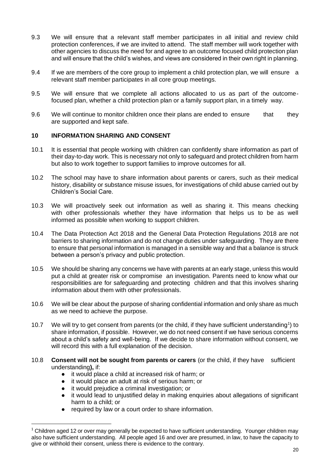- 9.3 We will ensure that a relevant staff member participates in all initial and review child protection conferences, if we are invited to attend. The staff member will work together with other agencies to discuss the need for and agree to an outcome focused child protection plan and will ensure that the child's wishes, and views are considered in their own right in planning.
- 9.4 If we are members of the core group to implement a child protection plan, we will ensure a relevant staff member participates in all core group meetings.
- 9.5 We will ensure that we complete all actions allocated to us as part of the outcomefocused plan, whether a child protection plan or a family support plan, in a timely way.
- 9.6 We will continue to monitor children once their plans are ended to ensure that they are supported and kept safe.

#### **10 INFORMATION SHARING AND CONSENT**

- 10.1 It is essential that people working with children can confidently share information as part of their day-to-day work. This is necessary not only to safeguard and protect children from harm but also to work together to support families to improve outcomes for all.
- 10.2 The school may have to share information about parents or carers, such as their medical history, disability or substance misuse issues, for investigations of child abuse carried out by Children's Social Care.
- 10.3 We will proactively seek out information as well as sharing it. This means checking with other professionals whether they have information that helps us to be as well informed as possible when working to support children.
- 10.4 The Data Protection Act 2018 and the General Data Protection Regulations 2018 are not barriers to sharing information and do not change duties under safeguarding. They are there to ensure that personal information is managed in a sensible way and that a balance is struck between a person's privacy and public protection.
- 10.5 We should be sharing any concerns we have with parents at an early stage, unless this would put a child at greater risk or compromise an investigation. Parents need to know what our responsibilities are for safeguarding and protecting children and that this involves sharing information about them with other professionals.
- 10.6 We will be clear about the purpose of sharing confidential information and only share as much as we need to achieve the purpose.
- 10.7 We will try to get consent from parents (or the child, if they have sufficient understanding<sup>1</sup>) to share information, if possible. However, we do not need consent if we have serious concerns about a child's safety and well-being. If we decide to share information without consent, we will record this with a full explanation of the decision.
- 10.8 **Consent will not be sought from parents or carers** (or the child, if they have sufficient understanding**),** if:
	- it would place a child at increased risk of harm; or
	- it would place an adult at risk of serious harm; or
	- it would prejudice a criminal investigation; or
	- it would lead to unjustified delay in making enquiries about allegations of significant harm to a child; or
	- required by law or a court order to share information.

<sup>&</sup>lt;sup>1</sup> Children aged 12 or over may generally be expected to have sufficient understanding. Younger children may also have sufficient understanding. All people aged 16 and over are presumed, in law, to have the capacity to give or withhold their consent, unless there is evidence to the contrary.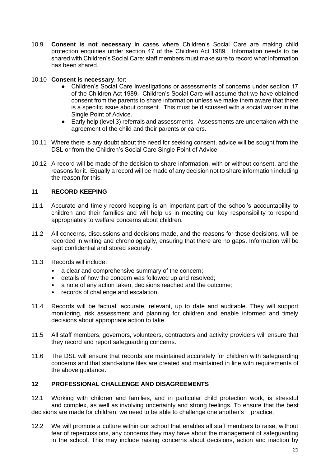- 10.9 **Consent is not necessary** in cases where Children's Social Care are making child protection enquiries under section 47 of the Children Act 1989. Information needs to be shared with Children's Social Care; staff members must make sure to record what information has been shared.
- 10.10 **Consent is necessary**, for:
	- Children's Social Care investigations or assessments of concerns under section 17 of the Children Act 1989. Children's Social Care will assume that we have obtained consent from the parents to share information unless we make them aware that there is a specific issue about consent. This must be discussed with a social worker in the Single Point of Advice.
	- Early help (level 3) referrals and assessments. Assessments are undertaken with the agreement of the child and their parents or carers.
- 10.11 Where there is any doubt about the need for seeking consent, advice will be sought from the DSL or from the Children's Social Care Single Point of Advice.
- 10.12 A record will be made of the decision to share information, with or without consent, and the reasons for it. Equally a record will be made of any decision not to share information including the reason for this.

#### **11 RECORD KEEPING**

- 11.1 Accurate and timely record keeping is an important part of the school's accountability to children and their families and will help us in meeting our key responsibility to respond appropriately to welfare concerns about children.
- 11.2 All concerns, discussions and decisions made, and the reasons for those decisions, will be recorded in writing and chronologically, ensuring that there are no gaps. Information will be kept confidential and stored securely.
- 11.3 Records will include:
	- a clear and comprehensive summary of the concern;
	- details of how the concern was followed up and resolved;
	- a note of any action taken, decisions reached and the outcome;
	- records of challenge and escalation.
- 11.4 Records will be factual, accurate, relevant, up to date and auditable. They will support monitoring, risk assessment and planning for children and enable informed and timely decisions about appropriate action to take.
- 11.5 All staff members, governors, volunteers, contractors and activity providers will ensure that they record and report safeguarding concerns.
- 11.6 The DSL will ensure that records are maintained accurately for children with safeguarding concerns and that stand-alone files are created and maintained in line with requirements of the above guidance.

#### **12 PROFESSIONAL CHALLENGE AND DISAGREEMENTS**

12.1 Working with children and families, and in particular child protection work, is stressful and complex, as well as involving uncertainty and strong feelings. To ensure that the best decisions are made for children, we need to be able to challenge one another's practice.

12.2 We will promote a culture within our school that enables all staff members to raise, without fear of repercussions, any concerns they may have about the management of safeguarding in the school. This may include raising concerns about decisions, action and inaction by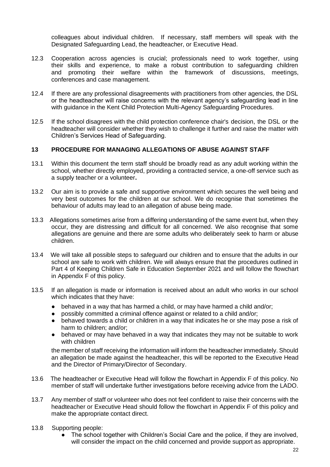colleagues about individual children. If necessary, staff members will speak with the Designated Safeguarding Lead, the headteacher, or Executive Head.

- 12.3 Cooperation across agencies is crucial; professionals need to work together, using their skills and experience, to make a robust contribution to safeguarding children and promoting their welfare within the framework of discussions, meetings, conferences and case management.
- 12.4 If there are any professional disagreements with practitioners from other agencies, the DSL or the headteacher will raise concerns with the relevant agency's safeguarding lead in line with guidance in the Kent Child Protection Multi-Agency Safeguarding Procedures.
- 12.5 If the school disagrees with the child protection conference chair's decision, the DSL or the headteacher will consider whether they wish to challenge it further and raise the matter with Children's Services Head of Safeguarding.

#### **13 PROCEDURE FOR MANAGING ALLEGATIONS OF ABUSE AGAINST STAFF**

- 13.1 Within this document the term staff should be broadly read as any adult working within the school, whether directly employed, providing a contracted service, a one-off service such as a supply teacher or a volunteer**.**
- 13.2 Our aim is to provide a safe and supportive environment which secures the well being and very best outcomes for the children at our school. We do recognise that sometimes the behaviour of adults may lead to an allegation of abuse being made.
- 13.3 Allegations sometimes arise from a differing understanding of the same event but, when they occur, they are distressing and difficult for all concerned. We also recognise that some allegations are genuine and there are some adults who deliberately seek to harm or abuse children.
- 13.4 We will take all possible steps to safeguard our children and to ensure that the adults in our school are safe to work with children. We will always ensure that the procedures outlined in Part 4 of Keeping Children Safe in Education September 2021 and will follow the flowchart in Appendix F of this policy.
- 13.5 If an allegation is made or information is received about an adult who works in our school which indicates that they have:
	- behaved in a way that has harmed a child, or may have harmed a child and/or;
	- possibly committed a criminal offence against or related to a child and/or;
	- behaved towards a child or children in a way that indicates he or she may pose a risk of harm to children; and/or;
	- behaved or may have behaved in a way that indicates they may not be suitable to work with children

the member of staff receiving the information will inform the headteacher immediately. Should an allegation be made against the headteacher, this will be reported to the Executive Head and the Director of Primary/Director of Secondary.

- 13.6 The headteacher or Executive Head will follow the flowchart in Appendix F of this policy. No member of staff will undertake further investigations before receiving advice from the LADO.
- 13.7 Any member of staff or volunteer who does not feel confident to raise their concerns with the headteacher or Executive Head should follow the flowchart in Appendix F of this policy and make the appropriate contact direct.
- 13.8 Supporting people:
	- The school together with Children's Social Care and the police, if they are involved, will consider the impact on the child concerned and provide support as appropriate.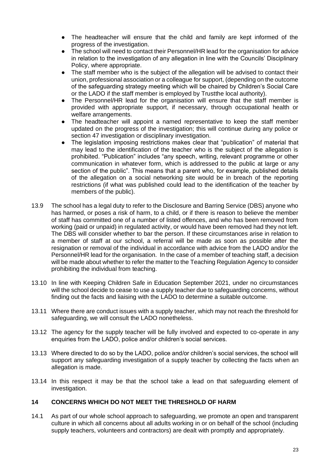- The headteacher will ensure that the child and family are kept informed of the progress of the investigation.
- The school will need to contact their Personnel/HR lead for the organisation for advice in relation to the investigation of any allegation in line with the Councils' Disciplinary Policy, where appropriate.
- The staff member who is the subject of the allegation will be advised to contact their union, professional association or a colleague for support, (depending on the outcome of the safeguarding strategy meeting which will be chaired by Children's Social Care or the LADO if the staff member is employed by Trustthe local authority).
- The Personnel/HR lead for the organisation will ensure that the staff member is provided with appropriate support, if necessary, through occupational health or welfare arrangements.
- The headteacher will appoint a named representative to keep the staff member updated on the progress of the investigation; this will continue during any police or section 47 investigation or disciplinary investigation.
- The legislation imposing restrictions makes clear that "publication" of material that may lead to the identification of the teacher who is the subject of the allegation is prohibited. "Publication" includes "any speech, writing, relevant programme or other communication in whatever form, which is addressed to the public at large or any section of the public". This means that a parent who, for example, published details of the allegation on a social networking site would be in breach of the reporting restrictions (if what was published could lead to the identification of the teacher by members of the public).
- 13.9 The school has a legal duty to refer to the Disclosure and Barring Service (DBS) anyone who has harmed, or poses a risk of harm, to a child, or if there is reason to believe the member of staff has committed one of a number of listed offences, and who has been removed from working (paid or unpaid) in regulated activity, or would have been removed had they not left. The DBS will consider whether to bar the person. If these circumstances arise in relation to a member of staff at our school, a referral will be made as soon as possible after the resignation or removal of the individual in accordance with advice from the LADO and/or the Personnel/HR lead for the organisation. In the case of a member of teaching staff, a decision will be made about whether to refer the matter to the Teaching Regulation Agency to consider prohibiting the individual from teaching.
- 13.10 In line with Keeping Children Safe in Education September 2021, under no circumstances will the school decide to cease to use a supply teacher due to safeguarding concerns, without finding out the facts and liaising with the LADO to determine a suitable outcome.
- 13.11 Where there are conduct issues with a supply teacher, which may not reach the threshold for safeguarding, we will consult the LADO nonetheless.
- 13.12 The agency for the supply teacher will be fully involved and expected to co-operate in any enquiries from the LADO, police and/or children's social services.
- 13.13 Where directed to do so by the LADO, police and/or children's social services, the school will support any safeguarding investigation of a supply teacher by collecting the facts when an allegation is made.
- 13.14 In this respect it may be that the school take a lead on that safeguarding element of investigation.

#### **14 CONCERNS WHICH DO NOT MEET THE THRESHOLD OF HARM**

14.1 As part of our whole school approach to safeguarding, we promote an open and transparent culture in which all concerns about all adults working in or on behalf of the school (including supply teachers, volunteers and contractors) are dealt with promptly and appropriately.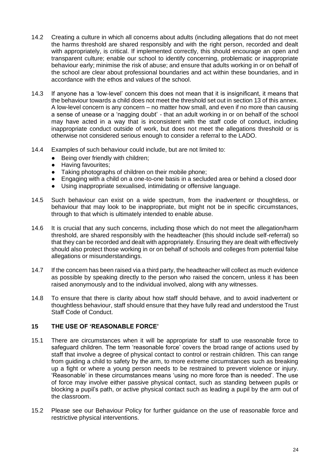- 14.2 Creating a culture in which all concerns about adults (including allegations that do not meet the harms threshold are shared responsibly and with the right person, recorded and dealt with appropriately, is critical. If implemented correctly, this should encourage an open and transparent culture; enable our school to identify concerning, problematic or inappropriate behaviour early; minimise the risk of abuse; and ensure that adults working in or on behalf of the school are clear about professional boundaries and act within these boundaries, and in accordance with the ethos and values of the school.
- 14.3 If anyone has a 'low-level' concern this does not mean that it is insignificant, it means that the behaviour towards a child does not meet the threshold set out in section 13 of this annex. A low-level concern is any concern – no matter how small, and even if no more than causing a sense of unease or a 'nagging doubt' - that an adult working in or on behalf of the school may have acted in a way that is inconsistent with the staff code of conduct, including inappropriate conduct outside of work, but does not meet the allegations threshold or is otherwise not considered serious enough to consider a referral to the LADO.
- 14.4 Examples of such behaviour could include, but are not limited to:
	- Being over friendly with children;
	- Having favourites;
	- Taking photographs of children on their mobile phone;
	- Engaging with a child on a one-to-one basis in a secluded area or behind a closed door
	- Using inappropriate sexualised, intimidating or offensive language.
- 14.5 Such behaviour can exist on a wide spectrum, from the inadvertent or thoughtless, or behaviour that may look to be inappropriate, but might not be in specific circumstances, through to that which is ultimately intended to enable abuse.
- 14.6 It is crucial that any such concerns, including those which do not meet the allegation/harm threshold, are shared responsibly with the headteacher (this should include self-referral) so that they can be recorded and dealt with appropriately. Ensuring they are dealt with effectively should also protect those working in or on behalf of schools and colleges from potential false allegations or misunderstandings.
- 14.7 If the concern has been raised via a third party, the headteacher will collect as much evidence as possible by speaking directly to the person who raised the concern, unless it has been raised anonymously and to the individual involved, along with any witnesses.
- 14.8 To ensure that there is clarity about how staff should behave, and to avoid inadvertent or thoughtless behaviour, staff should ensure that they have fully read and understood the Trust Staff Code of Conduct.

#### **15 THE USE OF 'REASONABLE FORCE'**

- 15.1 There are circumstances when it will be appropriate for staff to use reasonable force to safeguard children. The term 'reasonable force' covers the broad range of actions used by staff that involve a degree of physical contact to control or restrain children. This can range from guiding a child to safety by the arm, to more extreme circumstances such as breaking up a fight or where a young person needs to be restrained to prevent violence or injury. 'Reasonable' in these circumstances means 'using no more force than is needed'. The use of force may involve either passive physical contact, such as standing between pupils or blocking a pupil's path, or active physical contact such as leading a pupil by the arm out of the classroom.
- 15.2 Please see our Behaviour Policy for further guidance on the use of reasonable force and restrictive physical interventions.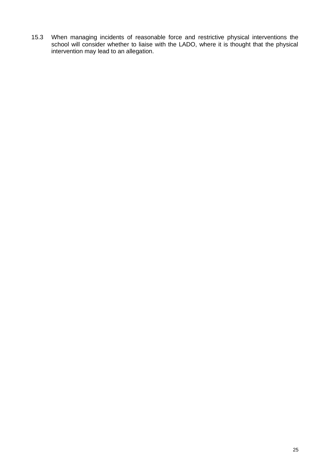15.3 When managing incidents of reasonable force and restrictive physical interventions the school will consider whether to liaise with the LADO, where it is thought that the physical intervention may lead to an allegation.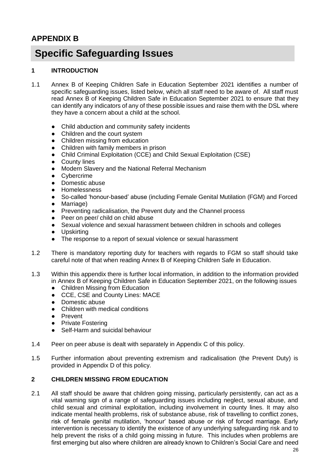### **APPENDIX B**

### **Specific Safeguarding Issues**

#### **1 INTRODUCTION**

- 1.1 Annex B of Keeping Children Safe in Education September 2021 identifies a number of specific safeguarding issues, listed below, which all staff need to be aware of. All staff must read Annex B of Keeping Children Safe in Education September 2021 to ensure that they can identify any indicators of any of these possible issues and raise them with the DSL where they have a concern about a child at the school.
	- Child abduction and community safety incidents
	- Children and the court system
	- Children missing from education
	- Children with family members in prison
	- Child Criminal Exploitation (CCE) and Child Sexual Exploitation (CSE)
	- County lines
	- Modern Slavery and the National Referral Mechanism
	- Cybercrime
	- Domestic abuse
	- **Homelessness**
	- So-called 'honour-based' abuse (including Female Genital Mutilation (FGM) and Forced
	- Marriage)
	- Preventing radicalisation, the Prevent duty and the Channel process
	- Peer on peer/ child on child abuse
	- Sexual violence and sexual harassment between children in schools and colleges
	- Upskirting
	- The response to a report of sexual violence or sexual harassment
- 1.2 There is mandatory reporting duty for teachers with regards to FGM so staff should take careful note of that when reading Annex B of Keeping Children Safe in Education.
- 1.3 Within this appendix there is further local information, in addition to the information provided in Annex B of Keeping Children Safe in Education September 2021, on the following issues
	- Children Missing from Education
	- CCE, CSE and County Lines: MACE
	- Domestic abuse
	- Children with medical conditions
	- Prevent
	- Private Fostering
	- Self-Harm and suicidal behaviour
- 1.4 Peer on peer abuse is dealt with separately in Appendix C of this policy.
- 1.5 Further information about preventing extremism and radicalisation (the Prevent Duty) is provided in Appendix D of this policy.

#### **2 CHILDREN MISSING FROM EDUCATION**

2.1 All staff should be aware that children going missing, particularly persistently, can act as a vital warning sign of a range of safeguarding issues including neglect, sexual abuse, and child sexual and criminal exploitation, including involvement in county lines. It may also indicate mental health problems, risk of substance abuse, risk of travelling to conflict zones, risk of female genital mutilation, 'honour' based abuse or risk of forced marriage. Early intervention is necessary to identify the existence of any underlying safeguarding risk and to help prevent the risks of a child going missing in future. This includes when problems are first emerging but also where children are already known to Children's Social Care and need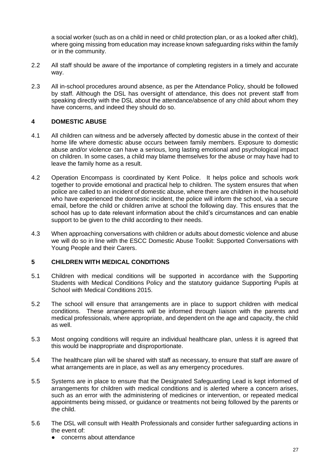a social worker (such as on a child in need or child protection plan, or as a looked after child), where going missing from education may increase known safeguarding risks within the family or in the community.

- 2.2 All staff should be aware of the importance of completing registers in a timely and accurate way.
- 2.3 All in-school procedures around absence, as per the Attendance Policy, should be followed by staff. Although the DSL has oversight of attendance, this does not prevent staff from speaking directly with the DSL about the attendance/absence of any child about whom they have concerns, and indeed they should do so.

#### **4 DOMESTIC ABUSE**

- 4.1 All children can witness and be adversely affected by domestic abuse in the context of their home life where domestic abuse occurs between family members. Exposure to domestic abuse and/or violence can have a serious, long lasting emotional and psychological impact on children. In some cases, a child may blame themselves for the abuse or may have had to leave the family home as a result.
- 4.2 Operation Encompass is coordinated by Kent Police. It helps police and schools work together to provide emotional and practical help to children. The system ensures that when police are called to an incident of domestic abuse, where there are children in the household who have experienced the domestic incident, the police will inform the school, via a secure email, before the child or children arrive at school the following day. This ensures that the school has up to date relevant information about the child's circumstances and can enable support to be given to the child according to their needs.
- 4.3 When approaching conversations with children or adults about domestic violence and abuse we will do so in line with the ESCC Domestic Abuse Toolkit: Supported Conversations with Young People and their Carers.

#### **5 CHILDREN WITH MEDICAL CONDITIONS**

- 5.1 Children with medical conditions will be supported in accordance with the Supporting Students with Medical Conditions Policy and the statutory guidance Supporting Pupils at School with Medical Conditions 2015.
- 5.2 The school will ensure that arrangements are in place to support children with medical conditions. These arrangements will be informed through liaison with the parents and medical professionals, where appropriate, and dependent on the age and capacity, the child as well.
- 5.3 Most ongoing conditions will require an individual healthcare plan, unless it is agreed that this would be inappropriate and disproportionate.
- 5.4 The healthcare plan will be shared with staff as necessary, to ensure that staff are aware of what arrangements are in place, as well as any emergency procedures.
- 5.5 Systems are in place to ensure that the Designated Safeguarding Lead is kept informed of arrangements for children with medical conditions and is alerted where a concern arises, such as an error with the administering of medicines or intervention, or repeated medical appointments being missed, or guidance or treatments not being followed by the parents or the child.
- 5.6 The DSL will consult with Health Professionals and consider further safeguarding actions in the event of:
	- concerns about attendance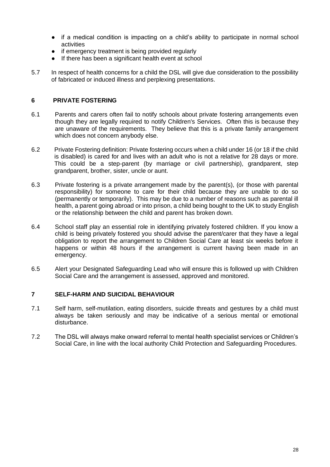- if a medical condition is impacting on a child's ability to participate in normal school activities
- if emergency treatment is being provided regularly
- If there has been a significant health event at school
- 5.7 In respect of health concerns for a child the DSL will give due consideration to the possibility of fabricated or induced illness and perplexing presentations.

#### **6 PRIVATE FOSTERING**

- 6.1 Parents and carers often fail to notify schools about private fostering arrangements even though they are legally required to notify Children's Services. Often this is because they are unaware of the requirements. They believe that this is a private family arrangement which does not concern anybody else.
- 6.2 Private Fostering definition: Private fostering occurs when a child under 16 (or 18 if the child is disabled) is cared for and lives with an adult who is not a relative for 28 days or more. This could be a step-parent (by marriage or civil partnership), grandparent, step grandparent, brother, sister, uncle or aunt.
- 6.3 Private fostering is a private arrangement made by the parent(s), (or those with parental responsibility) for someone to care for their child because they are unable to do so (permanently or temporarily). This may be due to a number of reasons such as parental ill health, a parent going abroad or into prison, a child being bought to the UK to study English or the relationship between the child and parent has broken down.
- 6.4 School staff play an essential role in identifying privately fostered children. If you know a child is being privately fostered you should advise the parent/carer that they have a legal obligation to report the arrangement to Children Social Care at least six weeks before it happens or within 48 hours if the arrangement is current having been made in an emergency.
- 6.5 Alert your Designated Safeguarding Lead who will ensure this is followed up with Children Social Care and the arrangement is assessed, approved and monitored.

#### **7 SELF-HARM AND SUICIDAL BEHAVIOUR**

- 7.1 Self harm, self-mutilation, eating disorders, suicide threats and gestures by a child must always be taken seriously and may be indicative of a serious mental or emotional disturbance.
- 7.2 The DSL will always make onward referral to mental health specialist services or Children's Social Care, in line with the local authority Child Protection and Safeguarding Procedures.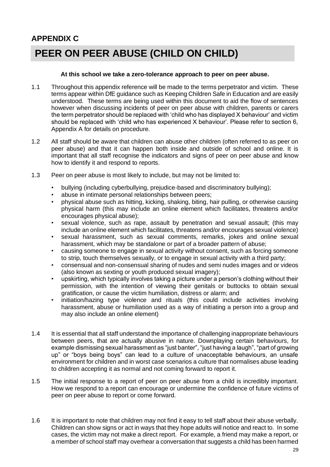## **APPENDIX C PEER ON PEER ABUSE (CHILD ON CHILD)**

#### **At this school we take a zero-tolerance approach to peer on peer abuse.**

- 1.1 Throughout this appendix reference will be made to the terms perpetrator and victim. These terms appear within DfE guidance such as Keeping Children Safe in Education and are easily understood. These terms are being used within this document to aid the flow of sentences however when discussing incidents of peer on peer abuse with children, parents or carers the term perpetrator should be replaced with 'child who has displayed X behaviour' and victim should be replaced with 'child who has experienced X behaviour'. Please refer to section 6, Appendix A for details on procedure.
- 1.2 All staff should be aware that children can abuse other children (often referred to as peer on peer abuse) and that it can happen both inside and outside of school and online. It is important that all staff recognise the indicators and signs of peer on peer abuse and know how to identify it and respond to reports.
- 1.3 Peer on peer abuse is most likely to include, but may not be limited to:
	- bullying (including cyberbullying, prejudice-based and discriminatory bullying);
	- abuse in intimate personal relationships between peers;
	- physical abuse such as hitting, kicking, shaking, biting, hair pulling, or otherwise causing physical harm (this may include an online element which facilitates, threatens and/or encourages physical abuse);
	- sexual violence, such as rape, assault by penetration and sexual assault; (this may include an online element which facilitates, threatens and/or encourages sexual violence)
	- sexual harassment, such as sexual comments, remarks, jokes and online sexual harassment, which may be standalone or part of a broader pattern of abuse;
	- causing someone to engage in sexual activity without consent, such as forcing someone to strip, touch themselves sexually, or to engage in sexual activity with a third party;
	- consensual and non-consensual sharing of nudes and semi nudes images and or videos (also known as sexting or youth produced sexual imagery);
	- upskirting, which typically involves taking a picture under a person's clothing without their permission, with the intention of viewing their genitals or buttocks to obtain sexual gratification, or cause the victim humiliation, distress or alarm; and
	- initiation/hazing type violence and rituals (this could include activities involving harassment, abuse or humiliation used as a way of initiating a person into a group and may also include an online element)
- 1.4 It is essential that all staff understand the importance of challenging inappropriate behaviours between peers, that are actually abusive in nature. Downplaying certain behaviours, for example dismissing sexual harassment as "just banter", "just having a laugh", "part of growing up" or "boys being boys" can lead to a culture of unacceptable behaviours, an unsafe environment for children and in worst case scenarios a culture that normalises abuse leading to children accepting it as normal and not coming forward to report it.
- 1.5 The initial response to a report of peer on peer abuse from a child is incredibly important. How we respond to a report can encourage or undermine the confidence of future victims of peer on peer abuse to report or come forward.
- 1.6 It is important to note that children may not find it easy to tell staff about their abuse verbally. Children can show signs or act in ways that they hope adults will notice and react to. In some cases, the victim may not make a direct report. For example, a friend may make a report, or a member of school staff may overhear a conversation that suggests a child has been harmed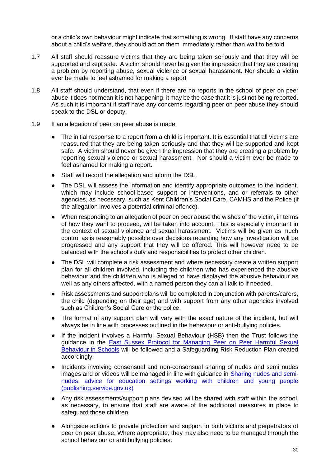or a child's own behaviour might indicate that something is wrong. If staff have any concerns about a child's welfare, they should act on them immediately rather than wait to be told.

- 1.7 All staff should reassure victims that they are being taken seriously and that they will be supported and kept safe. A victim should never be given the impression that they are creating a problem by reporting abuse, sexual violence or sexual harassment. Nor should a victim ever be made to feel ashamed for making a report
- 1.8 All staff should understand, that even if there are no reports in the school of peer on peer abuse it does not mean it is not happening, it may be the case that it is just not being reported. As such it is important if staff have any concerns regarding peer on peer abuse they should speak to the DSL or deputy.
- 1.9 If an allegation of peer on peer abuse is made:
	- The initial response to a report from a child is important. It is essential that all victims are reassured that they are being taken seriously and that they will be supported and kept safe. A victim should never be given the impression that they are creating a problem by reporting sexual violence or sexual harassment. Nor should a victim ever be made to feel ashamed for making a report.
	- Staff will record the allegation and inform the DSL.
	- The DSL will assess the information and identify appropriate outcomes to the incident, which may include school-based support or interventions, and or referrals to other agencies, as necessary, such as Kent Children's Social Care, CAMHS and the Police (if the allegation involves a potential criminal offence).
	- When responding to an allegation of peer on peer abuse the wishes of the victim, in terms of how they want to proceed, will be taken into account. This is especially important in the context of sexual violence and sexual harassment. Victims will be given as much control as is reasonably possible over decisions regarding how any investigation will be progressed and any support that they will be offered. This will however need to be balanced with the school's duty and responsibilities to protect other children.
	- The DSL will complete a risk assessment and where necessary create a written support plan for all children involved, including the child/ren who has experienced the abusive behaviour and the child/ren who is alleged to have displayed the abusive behaviour as well as any others affected, with a named person they can all talk to if needed.
	- Risk assessments and support plans will be completed in conjunction with parents/carers, the child (depending on their age) and with support from any other agencies involved such as Children's Social Care or the police.
	- The format of any support plan will vary with the exact nature of the incident, but will always be in line with processes outlined in the behaviour or anti-bullying policies.
	- If the incident involves a Harmful Sexual Behaviour (HSB) then the Trust follows the guidance in the [East Sussex Protocol for Managing Peer on Peer Harmful Sexual](https://czone.eastsussex.gov.uk/safeguarding/safeguarding-in-schools-colleges-and-early-years-settings/safeguarding-model-policies-and-guidance/harmful-sexual-behaviours/)  [Behaviour in Schools](https://czone.eastsussex.gov.uk/safeguarding/safeguarding-in-schools-colleges-and-early-years-settings/safeguarding-model-policies-and-guidance/harmful-sexual-behaviours/) will be followed and a Safeguarding Risk Reduction Plan created accordingly.
	- Incidents involving consensual and non-consensual sharing of nudes and semi nudes images and or videos will be managed in line with guidance in [Sharing nudes and semi](https://assets.publishing.service.gov.uk/government/uploads/system/uploads/attachment_data/file/947545/UKCIS_sharing_nudes_and_semi_nudes_advice_for_education_settings_V2.pdf)[nudes: advice for education settings working with children and young people](https://assets.publishing.service.gov.uk/government/uploads/system/uploads/attachment_data/file/947545/UKCIS_sharing_nudes_and_semi_nudes_advice_for_education_settings_V2.pdf)  [\(publishing.service.gov.uk\)](https://assets.publishing.service.gov.uk/government/uploads/system/uploads/attachment_data/file/947545/UKCIS_sharing_nudes_and_semi_nudes_advice_for_education_settings_V2.pdf)
	- Any risk assessments/support plans devised will be shared with staff within the school, as necessary, to ensure that staff are aware of the additional measures in place to safeguard those children.
	- Alongside actions to provide protection and support to both victims and perpetrators of peer on peer abuse, Where appropriate, they may also need to be managed through the school behaviour or anti bullying policies.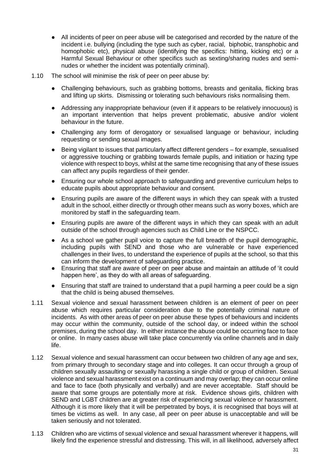- All incidents of peer on peer abuse will be categorised and recorded by the nature of the incident i.e. bullying (including the type such as cyber, racial, biphobic, transphobic and homophobic etc), physical abuse (identifying the specifics: hitting, kicking etc) or a Harmful Sexual Behaviour or other specifics such as sexting/sharing nudes and seminudes or whether the incident was potentially criminal).
- 1.10 The school will minimise the risk of peer on peer abuse by:
	- Challenging behaviours, such as grabbing bottoms, breasts and genitalia, flicking bras and lifting up skirts. Dismissing or tolerating such behaviours risks normalising them.
	- Addressing any inappropriate behaviour (even if it appears to be relatively innocuous) is an important intervention that helps prevent problematic, abusive and/or violent behaviour in the future.
	- Challenging any form of derogatory or sexualised language or behaviour, including requesting or sending sexual images.
	- Being vigilant to issues that particularly affect different genders for example, sexualised or aggressive touching or grabbing towards female pupils, and initiation or hazing type violence with respect to boys, whilst at the same time recognising that any of these issues can affect any pupils regardless of their gender.
	- Ensuring our whole school approach to safeguarding and preventive curriculum helps to educate pupils about appropriate behaviour and consent.
	- Ensuring pupils are aware of the different ways in which they can speak with a trusted adult in the school, either directly or through other means such as worry boxes, which are monitored by staff in the safeguarding team.
	- Ensuring pupils are aware of the different ways in which they can speak with an adult outside of the school through agencies such as Child Line or the NSPCC.
	- As a school we gather pupil voice to capture the full breadth of the pupil demographic, including pupils with SEND and those who are vulnerable or have experienced challenges in their lives, to understand the experience of pupils at the school, so that this can inform the development of safeguarding practice.
	- Ensuring that staff are aware of peer on peer abuse and maintain an attitude of 'it could happen here', as they do with all areas of safeguarding.
	- Ensuring that staff are trained to understand that a pupil harming a peer could be a sign that the child is being abused themselves.
- 1.11 Sexual violence and sexual harassment between children is an element of peer on peer abuse which requires particular consideration due to the potentially criminal nature of incidents. As with other areas of peer on peer abuse these types of behaviours and incidents may occur within the community, outside of the school day, or indeed within the school premises, during the school day. In either instance the abuse could be occurring face to face or online. In many cases abuse will take place concurrently via online channels and in daily life.
- 1.12 Sexual violence and sexual harassment can occur between two children of any age and sex, from primary through to secondary stage and into colleges. It can occur through a group of children sexually assaulting or sexually harassing a single child or group of children. Sexual violence and sexual harassment exist on a continuum and may overlap; they can occur online and face to face (both physically and verbally) and are never acceptable. Staff should be aware that some groups are potentially more at risk. Evidence shows girls, children with SEND and LGBT children are at greater risk of experiencing sexual violence or harassment. Although it is more likely that it will be perpetrated by boys, it is recognised that boys will at times be victims as well. In any case, all peer on peer abuse is unacceptable and will be taken seriously and not tolerated.
- 1.13 Children who are victims of sexual violence and sexual harassment wherever it happens, will likely find the experience stressful and distressing. This will, in all likelihood, adversely affect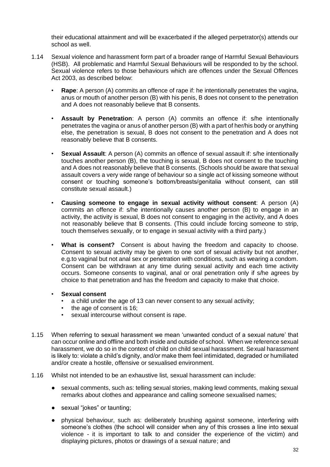their educational attainment and will be exacerbated if the alleged perpetrator(s) attends our school as well.

- 1.14 Sexual violence and harassment form part of a broader range of Harmful Sexual Behaviours (HSB). All problematic and Harmful Sexual Behaviours will be responded to by the school. Sexual violence refers to those behaviours which are offences under the Sexual Offences Act 2003, as described below:
	- **Rape**: A person (A) commits an offence of rape if: he intentionally penetrates the vagina, anus or mouth of another person (B) with his penis, B does not consent to the penetration and A does not reasonably believe that B consents.
	- **Assault by Penetration**: A person (A) commits an offence if: s/he intentionally penetrates the vagina or anus of another person (B) with a part of her/his body or anything else, the penetration is sexual, B does not consent to the penetration and A does not reasonably believe that B consents.
	- **Sexual Assault**: A person (A) commits an offence of sexual assault if: s/he intentionally touches another person (B), the touching is sexual, B does not consent to the touching and A does not reasonably believe that B consents. (Schools should be aware that sexual assault covers a very wide range of behaviour so a single act of kissing someone without consent or touching someone's bottom/breasts/genitalia without consent, can still constitute sexual assault.)
	- **Causing someone to engage in sexual activity without consent**: A person (A) commits an offence if: s/he intentionally causes another person (B) to engage in an activity, the activity is sexual, B does not consent to engaging in the activity, and A does not reasonably believe that B consents. (This could include forcing someone to strip, touch themselves sexually, or to engage in sexual activity with a third party.)
	- What is consent? Consent is about having the freedom and capacity to choose. Consent to sexual activity may be given to one sort of sexual activity but not another, e.g.to vaginal but not anal sex or penetration with conditions, such as wearing a condom. Consent can be withdrawn at any time during sexual activity and each time activity occurs. Someone consents to vaginal, anal or oral penetration only if s/he agrees by choice to that penetration and has the freedom and capacity to make that choice.
	- **Sexual consent**
		- a child under the age of 13 can never consent to any sexual activity;
		- the age of consent is 16:
		- sexual intercourse without consent is rape.
- 1.15 When referring to sexual harassment we mean 'unwanted conduct of a sexual nature' that can occur online and offline and both inside and outside of school. When we reference sexual harassment, we do so in the context of child on child sexual harassment. Sexual harassment is likely to: violate a child's dignity, and/or make them feel intimidated, degraded or humiliated and/or create a hostile, offensive or sexualised environment.
- 1.16 Whilst not intended to be an exhaustive list, sexual harassment can include:
	- sexual comments, such as: telling sexual stories, making lewd comments, making sexual remarks about clothes and appearance and calling someone sexualised names;
	- sexual "jokes" or taunting:
	- physical behaviour, such as: deliberately brushing against someone, interfering with someone's clothes (the school will consider when any of this crosses a line into sexual violence - it is important to talk to and consider the experience of the victim) and displaying pictures, photos or drawings of a sexual nature; and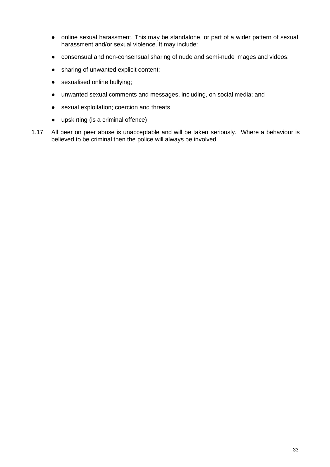- online sexual harassment. This may be standalone, or part of a wider pattern of sexual harassment and/or sexual violence. It may include:
- consensual and non-consensual sharing of nude and semi-nude images and videos;
- sharing of unwanted explicit content;
- sexualised online bullying;
- unwanted sexual comments and messages, including, on social media; and
- sexual exploitation; coercion and threats
- upskirting (is a criminal offence)
- 1.17 All peer on peer abuse is unacceptable and will be taken seriously. Where a behaviour is believed to be criminal then the police will always be involved.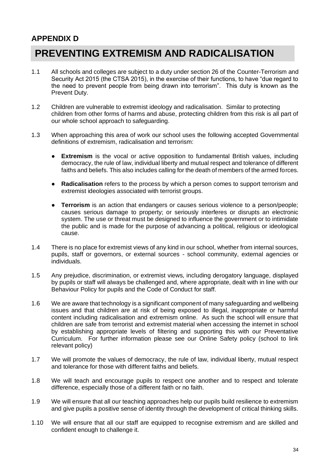### **APPENDIX D**

### **PREVENTING EXTREMISM AND RADICALISATION**

- 1.1 All schools and colleges are subject to a duty under section 26 of the Counter-Terrorism and Security Act 2015 (the CTSA 2015), in the exercise of their functions, to have "due regard to the need to prevent people from being drawn into terrorism". This duty is known as the Prevent Duty.
- 1.2 Children are vulnerable to extremist ideology and radicalisation. Similar to protecting children from other forms of harms and abuse, protecting children from this risk is all part of our whole school approach to safeguarding.
- 1.3 When approaching this area of work our school uses the following accepted Governmental definitions of extremism, radicalisation and terrorism:
	- **Extremism** is the vocal or active opposition to fundamental British values, including democracy, the rule of law, individual liberty and mutual respect and tolerance of different faiths and beliefs. This also includes calling for the death of members of the armed forces.
	- **Radicalisation** refers to the process by which a person comes to support terrorism and extremist ideologies associated with terrorist groups.
	- **Terrorism** is an action that endangers or causes serious violence to a person/people; causes serious damage to property; or seriously interferes or disrupts an electronic system. The use or threat must be designed to influence the government or to intimidate the public and is made for the purpose of advancing a political, religious or ideological cause.
- 1.4 There is no place for extremist views of any kind in our school, whether from internal sources, pupils, staff or governors, or external sources - school community, external agencies or individuals.
- 1.5 Any prejudice, discrimination, or extremist views, including derogatory language, displayed by pupils or staff will always be challenged and, where appropriate, dealt with in line with our Behaviour Policy for pupils and the Code of Conduct for staff.
- 1.6 We are aware that technology is a significant component of many safeguarding and wellbeing issues and that children are at risk of being exposed to illegal, inappropriate or harmful content including radicalisation and extremism online. As such the school will ensure that children are safe from terrorist and extremist material when accessing the internet in school by establishing appropriate levels of filtering and supporting this with our Preventative Curriculum. For further information please see our Online Safety policy (school to link relevant policy)
- 1.7 We will promote the values of democracy, the rule of law, individual liberty, mutual respect and tolerance for those with different faiths and beliefs.
- 1.8 We will teach and encourage pupils to respect one another and to respect and tolerate difference, especially those of a different faith or no faith.
- 1.9 We will ensure that all our teaching approaches help our pupils build resilience to extremism and give pupils a positive sense of identity through the development of critical thinking skills.
- 1.10 We will ensure that all our staff are equipped to recognise extremism and are skilled and confident enough to challenge it.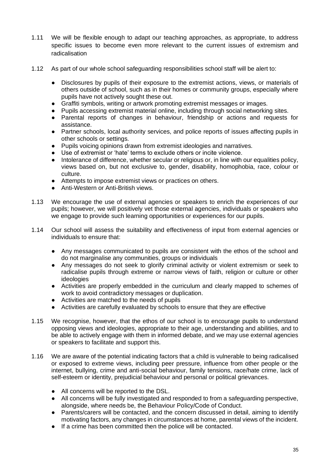- 1.11 We will be flexible enough to adapt our teaching approaches, as appropriate, to address specific issues to become even more relevant to the current issues of extremism and radicalisation
- 1.12 As part of our whole school safeguarding responsibilities school staff will be alert to:
	- Disclosures by pupils of their exposure to the extremist actions, views, or materials of others outside of school, such as in their homes or community groups, especially where pupils have not actively sought these out.
	- Graffiti symbols, writing or artwork promoting extremist messages or images.
	- Pupils accessing extremist material online, including through social networking sites.
	- Parental reports of changes in behaviour, friendship or actions and requests for assistance.
	- Partner schools, local authority services, and police reports of issues affecting pupils in other schools or settings.
	- Pupils voicing opinions drawn from extremist ideologies and narratives.
	- Use of extremist or 'hate' terms to exclude others or incite violence.
	- Intolerance of difference, whether secular or religious or, in line with our equalities policy, views based on, but not exclusive to, gender, disability, homophobia, race, colour or culture.
	- Attempts to impose extremist views or practices on others.
	- Anti-Western or Anti-British views.
- 1.13 We encourage the use of external agencies or speakers to enrich the experiences of our pupils; however, we will positively vet those external agencies, individuals or speakers who we engage to provide such learning opportunities or experiences for our pupils.
- 1.14 Our school will assess the suitability and effectiveness of input from external agencies or individuals to ensure that:
	- Any messages communicated to pupils are consistent with the ethos of the school and do not marginalise any communities, groups or individuals
	- Any messages do not seek to glorify criminal activity or violent extremism or seek to radicalise pupils through extreme or narrow views of faith, religion or culture or other ideologies
	- Activities are properly embedded in the curriculum and clearly mapped to schemes of work to avoid contradictory messages or duplication.
	- Activities are matched to the needs of pupils
	- Activities are carefully evaluated by schools to ensure that they are effective
- 1.15 We recognise, however, that the ethos of our school is to encourage pupils to understand opposing views and ideologies, appropriate to their age, understanding and abilities, and to be able to actively engage with them in informed debate, and we may use external agencies or speakers to facilitate and support this.
- 1.16 We are aware of the potential indicating factors that a child is vulnerable to being radicalised or exposed to extreme views, including peer pressure, influence from other people or the internet, bullying, crime and anti-social behaviour, family tensions, race/hate crime, lack of self-esteem or identity, prejudicial behaviour and personal or political grievances.
	- All concerns will be reported to the DSL.
	- All concerns will be fully investigated and responded to from a safeguarding perspective, alongside, where needs be, the Behaviour Policy/Code of Conduct.
	- Parents/carers will be contacted, and the concern discussed in detail, aiming to identify motivating factors, any changes in circumstances at home, parental views of the incident.
	- If a crime has been committed then the police will be contacted.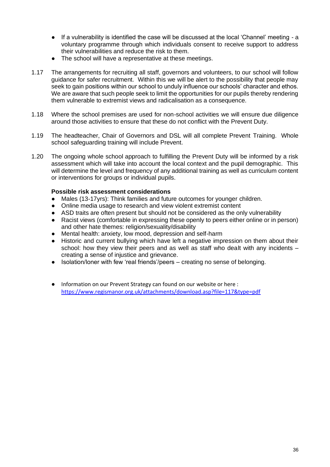- If a vulnerability is identified the case will be discussed at the local 'Channel' meeting a voluntary programme through which individuals consent to receive support to address their vulnerabilities and reduce the risk to them.
- The school will have a representative at these meetings.
- 1.17 The arrangements for recruiting all staff, governors and volunteers, to our school will follow guidance for safer recruitment. Within this we will be alert to the possibility that people may seek to gain positions within our school to unduly influence our schools' character and ethos. We are aware that such people seek to limit the opportunities for our pupils thereby rendering them vulnerable to extremist views and radicalisation as a consequence.
- 1.18 Where the school premises are used for non-school activities we will ensure due diligence around those activities to ensure that these do not conflict with the Prevent Duty.
- 1.19 The headteacher, Chair of Governors and DSL will all complete Prevent Training. Whole school safeguarding training will include Prevent.
- 1.20 The ongoing whole school approach to fulfilling the Prevent Duty will be informed by a risk assessment which will take into account the local context and the pupil demographic. This will determine the level and frequency of any additional training as well as curriculum content or interventions for groups or individual pupils.

#### **Possible risk assessment considerations**

- Males (13-17yrs): Think families and future outcomes for younger children.
- Online media usage to research and view violent extremist content
- ASD traits are often present but should not be considered as the only vulnerability
- Racist views (comfortable in expressing these openly to peers either online or in person) and other hate themes: religion/sexuality/disability
- Mental health: anxiety, low mood, depression and self-harm
- Historic and current bullying which have left a negative impression on them about their school: how they view their peers and as well as staff who dealt with any incidents – creating a sense of injustice and grievance.
- Isolation/loner with few 'real friends'/peers creating no sense of belonging.
- Information on our Prevent Strategy can found on our website or here : <https://www.regismanor.org.uk/attachments/download.asp?file=117&type=pdf>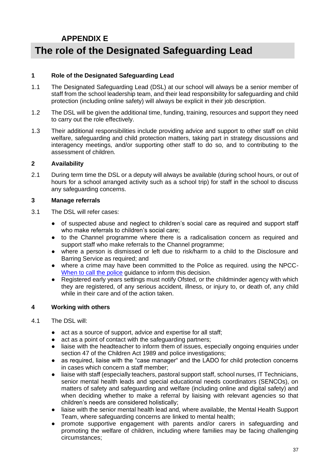### **APPENDIX E**

### **The role of the Designated Safeguarding Lead**

#### **1 Role of the Designated Safeguarding Lead**

- 1.1 The Designated Safeguarding Lead (DSL) at our school will always be a senior member of staff from the school leadership team, and their lead responsibility for safeguarding and child protection (including online safety) will always be explicit in their job description.
- 1.2 The DSL will be given the additional time, funding, training, resources and support they need to carry out the role effectively.
- 1.3 Their additional responsibilities include providing advice and support to other staff on child welfare, safeguarding and child protection matters, taking part in strategy discussions and interagency meetings, and/or supporting other staff to do so, and to contributing to the assessment of children.

#### **2 Availability**

2.1 During term time the DSL or a deputy will always be available (during school hours, or out of hours for a school arranged activity such as a school trip) for staff in the school to discuss any safeguarding concerns.

#### **3 Manage referrals**

- 3.1 The DSL will refer cases:
	- of suspected abuse and neglect to children's social care as required and support staff who make referrals to children's social care;
	- to the Channel programme where there is a radicalisation concern as required and support staff who make referrals to the Channel programme;
	- where a person is dismissed or left due to risk/harm to a child to the Disclosure and Barring Service as required; and
	- where a crime may have been committed to the Police as required. using the NPCC-[When to call the police](https://www.npcc.police.uk/documents/Children%20and%20Young%20People) guidance to inform this decision.
	- Registered early years settings must notify Ofsted, or the childminder agency with which they are registered, of any serious accident, illness, or injury to, or death of, any child while in their care and of the action taken.

#### **4 Working with others**

- 4.1 The DSL will:
	- act as a source of support, advice and expertise for all staff;
	- act as a point of contact with the safeguarding partners;
	- liaise with the headteacher to inform them of issues, especially ongoing enquiries under section 47 of the Children Act 1989 and police investigations;
	- as required, liaise with the "case manager" and the LADO for child protection concerns in cases which concern a staff member;
	- liaise with staff (especially teachers, pastoral support staff, school nurses, IT Technicians, senior mental health leads and special educational needs coordinators (SENCOs), on matters of safety and safeguarding and welfare (including online and digital safety) and when deciding whether to make a referral by liaising with relevant agencies so that children's needs are considered holistically;
	- liaise with the senior mental health lead and, where available, the Mental Health Support Team, where safeguarding concerns are linked to mental health;
	- promote supportive engagement with parents and/or carers in safeguarding and promoting the welfare of children, including where families may be facing challenging circumstances;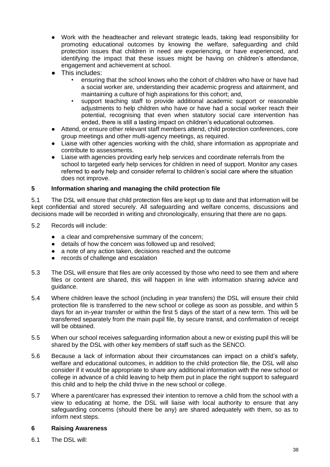- Work with the headteacher and relevant strategic leads, taking lead responsibility for promoting educational outcomes by knowing the welfare, safeguarding and child protection issues that children in need are experiencing, or have experienced, and identifying the impact that these issues might be having on children's attendance, engagement and achievement at school.
- This includes:
	- ensuring that the school knows who the cohort of children who have or have had a social worker are, understanding their academic progress and attainment, and maintaining a culture of high aspirations for this cohort; and,
	- support teaching staff to provide additional academic support or reasonable adjustments to help children who have or have had a social worker reach their potential, recognising that even when statutory social care intervention has ended, there is still a lasting impact on children's educational outcomes.
- Attend, or ensure other relevant staff members attend, child protection conferences, core group meetings and other multi-agency meetings, as required.
- Liaise with other agencies working with the child, share information as appropriate and contribute to assessments.
- Liaise with agencies providing early help services and coordinate referrals from the school to targeted early help services for children in need of support. Monitor any cases referred to early help and consider referral to children's social care where the situation does not improve.

#### **5 Information sharing and managing the child protection file**

5.1 The DSL will ensure that child protection files are kept up to date and that information will be kept confidential and stored securely. All safeguarding and welfare concerns, discussions and decisions made will be recorded in writing and chronologically, ensuring that there are no gaps.

- 5.2 Records will include:
	- a clear and comprehensive summary of the concern;
	- details of how the concern was followed up and resolved;
	- a note of any action taken, decisions reached and the outcome
	- records of challenge and escalation
- 5.3 The DSL will ensure that files are only accessed by those who need to see them and where files or content are shared, this will happen in line with information sharing advice and guidance.
- 5.4 Where children leave the school (including in year transfers) the DSL will ensure their child protection file is transferred to the new school or college as soon as possible, and within 5 days for an in-year transfer or within the first 5 days of the start of a new term. This will be transferred separately from the main pupil file, by secure transit, and confirmation of receipt will be obtained.
- 5.5 When our school receives safeguarding information about a new or existing pupil this will be shared by the DSL with other key members of staff such as the SENCO.
- 5.6 Because a lack of information about their circumstances can impact on a child's safety, welfare and educational outcomes, in addition to the child protection file, the DSL will also consider if it would be appropriate to share any additional information with the new school or college in advance of a child leaving to help them put in place the right support to safeguard this child and to help the child thrive in the new school or college.
- 5.7 Where a parent/carer has expressed their intention to remove a child from the school with a view to educating at home, the DSL will liaise with local authority to ensure that any safeguarding concerns (should there be any) are shared adequately with them, so as to inform next steps.

#### **6 Raising Awareness**

6.1 The DSL will: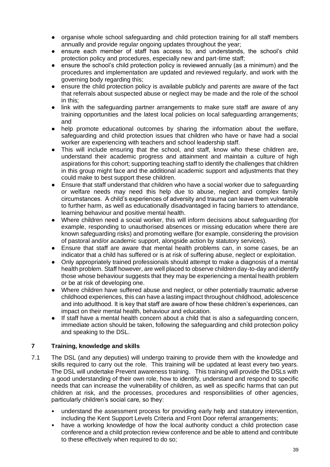- organise whole school safeguarding and child protection training for all staff members annually and provide regular ongoing updates throughout the year;
- ensure each member of staff has access to, and understands, the school's child protection policy and procedures, especially new and part-time staff;
- ensure the school's child protection policy is reviewed annually (as a minimum) and the procedures and implementation are updated and reviewed regularly, and work with the governing body regarding this;
- ensure the child protection policy is available publicly and parents are aware of the fact that referrals about suspected abuse or neglect may be made and the role of the school in this;
- link with the safeguarding partner arrangements to make sure staff are aware of any training opportunities and the latest local policies on local safeguarding arrangements; and
- help promote educational outcomes by sharing the information about the welfare, safeguarding and child protection issues that children who have or have had a social worker are experiencing with teachers and school leadership staff.
- This will include ensuring that the school, and staff, know who these children are, understand their academic progress and attainment and maintain a culture of high aspirations for this cohort; supporting teaching staff to identify the challenges that children in this group might face and the additional academic support and adjustments that they could make to best support these children.
- Ensure that staff understand that children who have a social worker due to safeguarding or welfare needs may need this help due to abuse, neglect and complex family circumstances. A child's experiences of adversity and trauma can leave them vulnerable to further harm, as well as educationally disadvantaged in facing barriers to attendance, learning behaviour and positive mental health.
- Where children need a social worker, this will inform decisions about safeguarding (for example, responding to unauthorised absences or missing education where there are known safeguarding risks) and promoting welfare (for example, considering the provision of pastoral and/or academic support, alongside action by statutory services).
- Ensure that staff are aware that mental health problems can, in some cases, be an indicator that a child has suffered or is at risk of suffering abuse, neglect or exploitation.
- Only appropriately trained professionals should attempt to make a diagnosis of a mental health problem. Staff however, are well placed to observe children day-to-day and identify those whose behaviour suggests that they may be experiencing a mental health problem or be at risk of developing one.
- Where children have suffered abuse and neglect, or other potentially traumatic adverse childhood experiences, this can have a lasting impact throughout childhood, adolescence and into adulthood. It is key that staff are aware of how these children's experiences, can impact on their mental health, behaviour and education.
- If staff have a mental health concern about a child that is also a safeguarding concern, immediate action should be taken, following the safeguarding and child protection policy and speaking to the DSL.

#### **7 Training, knowledge and skills**

- 7.1 The DSL (and any deputies) will undergo training to provide them with the knowledge and skills required to carry out the role. This training will be updated at least every two years. The DSL will undertake Prevent awareness training. This training will provide the DSLs with a good understanding of their own role, how to identify, understand and respond to specific needs that can increase the vulnerability of children, as well as specific harms that can put children at risk, and the processes, procedures and responsibilities of other agencies, particularly children's social care, so they:
	- understand the assessment process for providing early help and statutory intervention, including the Kent Support Levels Criteria and Front Door referral arrangements;
	- have a working knowledge of how the local authority conduct a child protection case conference and a child protection review conference and be able to attend and contribute to these effectively when required to do so;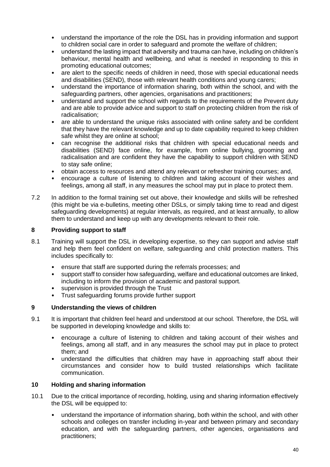- understand the importance of the role the DSL has in providing information and support to children social care in order to safeguard and promote the welfare of children;
- understand the lasting impact that adversity and trauma can have, including on children's behaviour, mental health and wellbeing, and what is needed in responding to this in promoting educational outcomes;
- are alert to the specific needs of children in need, those with special educational needs and disabilities (SEND), those with relevant health conditions and young carers;
- understand the importance of information sharing, both within the school, and with the safeguarding partners, other agencies, organisations and practitioners;
- understand and support the school with regards to the requirements of the Prevent duty and are able to provide advice and support to staff on protecting children from the risk of radicalisation;
- are able to understand the unique risks associated with online safety and be confident that they have the relevant knowledge and up to date capability required to keep children safe whilst they are online at school;
- can recognise the additional risks that children with special educational needs and disabilities (SEND) face online, for example, from online bullying, grooming and radicalisation and are confident they have the capability to support children with SEND to stay safe online;
- obtain access to resources and attend any relevant or refresher training courses; and,
- encourage a culture of listening to children and taking account of their wishes and feelings, among all staff, in any measures the school may put in place to protect them.
- 7.2 In addition to the formal training set out above, their knowledge and skills will be refreshed (this might be via e-bulletins, meeting other DSLs, or simply taking time to read and digest safeguarding developments) at regular intervals, as required, and at least annually, to allow them to understand and keep up with any developments relevant to their role.

#### **8 Providing support to staff**

- 8.1 Training will support the DSL in developing expertise, so they can support and advise staff and help them feel confident on welfare, safeguarding and child protection matters. This includes specifically to:
	- ensure that staff are supported during the referrals processes; and
	- support staff to consider how safeguarding, welfare and educational outcomes are linked, including to inform the provision of academic and pastoral support.
	- supervision is provided through the Trust
	- Trust safeguarding forums provide further support

#### **9 Understanding the views of children**

- 9.1 It is important that children feel heard and understood at our school. Therefore, the DSL will be supported in developing knowledge and skills to:
	- encourage a culture of listening to children and taking account of their wishes and feelings, among all staff, and in any measures the school may put in place to protect them; and
	- understand the difficulties that children may have in approaching staff about their circumstances and consider how to build trusted relationships which facilitate communication.

#### **10 Holding and sharing information**

- 10.1 Due to the critical importance of recording, holding, using and sharing information effectively the DSL will be equipped to:
	- understand the importance of information sharing, both within the school, and with other schools and colleges on transfer including in-year and between primary and secondary education, and with the safeguarding partners, other agencies, organisations and practitioners;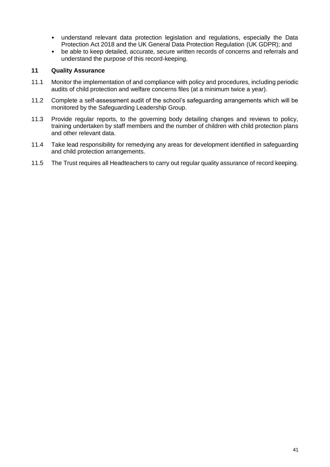- understand relevant data protection legislation and regulations, especially the Data Protection Act 2018 and the UK General Data Protection Regulation (UK GDPR); and
- be able to keep detailed, accurate, secure written records of concerns and referrals and understand the purpose of this record-keeping.

#### **11 Quality Assurance**

- 11.1 Monitor the implementation of and compliance with policy and procedures, including periodic audits of child protection and welfare concerns files (at a minimum twice a year).
- 11.2 Complete a self-assessment audit of the school's safeguarding arrangements which will be monitored by the Safeguarding Leadership Group.
- 11.3 Provide regular reports, to the governing body detailing changes and reviews to policy, training undertaken by staff members and the number of children with child protection plans and other relevant data.
- 11.4 Take lead responsibility for remedying any areas for development identified in safeguarding and child protection arrangements.
- 11.5 The Trust requires all Headteachers to carry out regular quality assurance of record keeping.